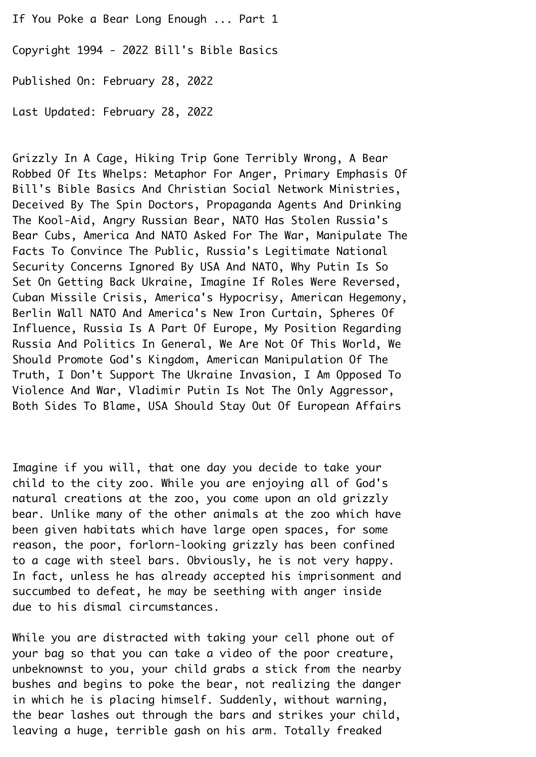If You Poke a Bear Long Enough ... Part 1 Copyright 1994 - 2022 Bill's Bible Basics¬ Published On: February 28, 2022¬ Last Updated: February 28, 2022¬

Grizzly In A Cage, Hiking Trip Gone Terribly Wrong, A Bear¬ Robbed Of Its Whelps: Metaphor For Anger, Primary Emphasis Of¬ Bill's Bible Basics And Christian Social Network Ministries,¬ Deceived By The Spin Doctors, Propaganda Agents And Drinking¬ The Kool-Aid, Angry Russian Bear, NATO Has Stolen Russia's¬ Bear Cubs, America And NATO Asked For The War, Manipulate The¬ Facts To Convince The Public, Russia's Legitimate National¬ Security Concerns Ignored By USA And NATO, Why Putin Is So¬ Set On Getting Back Ukraine, Imagine If Roles Were Reversed, Cuban Missile Crisis, America's Hypocrisy, American Hegemony,¬ Berlin Wall NATO And America's New Iron Curtain, Spheres Of¬ Influence, Russia Is A Part Of Europe, My Position Regarding¬ Russia And Politics In General, We Are Not Of This World, We¬ Should Promote God's Kingdom, American Manipulation Of The¬ Truth, I Don't Support The Ukraine Invasion, I Am Opposed To¬ Violence And War, Vladimir Putin Is Not The Only Aggressor, Both Sides To Blame, USA Should Stay Out Of European Affairs¬

Imagine if you will, that one day you decide to take your child to the city zoo. While you are enjoying all of God's natural creations at the zoo, you come upon an old grizzly bear. Unlike many of the other animals at the zoo which have been given habitats which have large open spaces, for some reason, the poor, forlorn-looking grizzly has been confined to a cage with steel bars. Obviously, he is not very happy.¬ In fact, unless he has already accepted his imprisonment and succumbed to defeat, he may be seething with anger inside due to his dismal circumstances.

While you are distracted with taking your cell phone out of your bag so that you can take a video of the poor creature, unbeknownst to you, your child grabs a stick from the nearby bushes and begins to poke the bear, not realizing the danger in which he is placing himself. Suddenly, without warning, the bear lashes out through the bars and strikes your child, leaving a huge, terrible gash on his arm. Totally freaked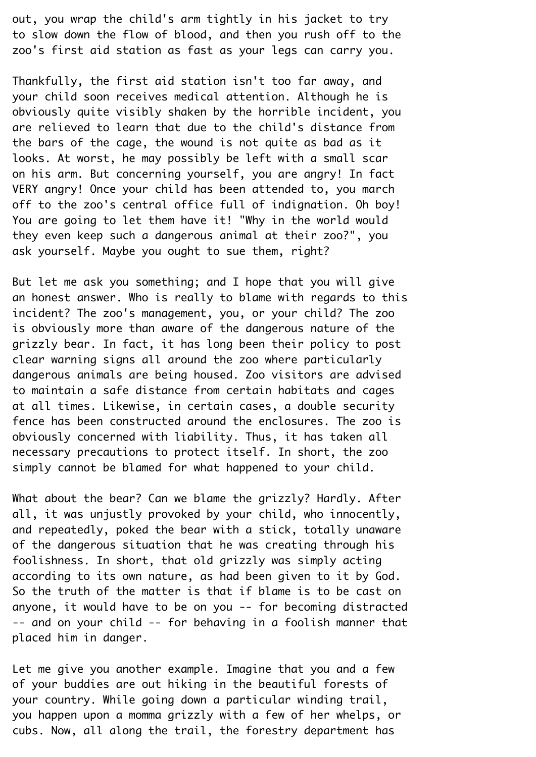out, you wrap the child's arm tightly in his jacket to try to slow down the flow of blood, and then you rush off to the zoo's first aid station as fast as your legs can carry you.¬

Thankfully, the first aid station isn't too far away, and your child soon receives medical attention. Although he is obviously quite visibly shaken by the horrible incident, you are relieved to learn that due to the child's distance from the bars of the cage, the wound is not quite as bad as it looks. At worst, he may possibly be left with a small scar on his arm. But concerning yourself, you are angry! In fact¬ VERY angry! Once your child has been attended to, you march off to the zoo's central office full of indignation. Oh boy! You are going to let them have it! "Why in the world would they even keep such a dangerous animal at their zoo?", you ask yourself. Maybe you ought to sue them, right?¬

But let me ask you something; and I hope that you will give an honest answer. Who is really to blame with regards to this incident? The zoo's management, you, or your child? The zoo is obviously more than aware of the dangerous nature of the grizzly bear. In fact, it has long been their policy to post clear warning signs all around the zoo where particularly dangerous animals are being housed. Zoo visitors are advised to maintain a safe distance from certain habitats and cages at all times. Likewise, in certain cases, a double security fence has been constructed around the enclosures. The zoo is obviously concerned with liability. Thus, it has taken all necessary precautions to protect itself. In short, the zoo simply cannot be blamed for what happened to your child.

What about the bear? Can we blame the grizzly? Hardly. After all, it was unjustly provoked by your child, who innocently, and repeatedly, poked the bear with a stick, totally unaware of the dangerous situation that he was creating through his foolishness. In short, that old grizzly was simply acting according to its own nature, as had been given to it by God.¬ So the truth of the matter is that if blame is to be cast on anyone, it would have to be on you -- for becoming distracted¬ -- and on your child -- for behaving in a foolish manner that placed him in danger.

Let me give you another example. Imagine that you and a few of your buddies are out hiking in the beautiful forests of your country. While going down a particular winding trail, you happen upon a momma grizzly with a few of her whelps, or cubs. Now, all along the trail, the forestry department has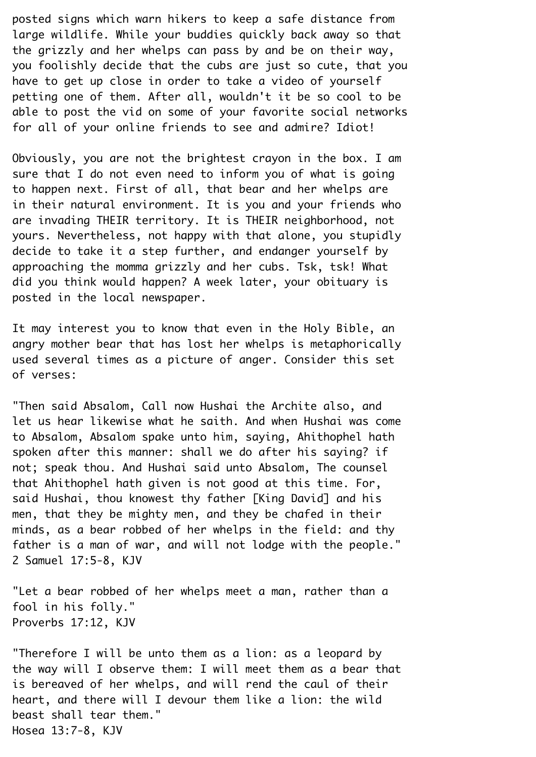posted signs which warn hikers to keep a safe distance from large wildlife. While your buddies quickly back away so that the grizzly and her whelps can pass by and be on their way, you foolishly decide that the cubs are just so cute, that you have to get up close in order to take a video of yourself petting one of them. After all, wouldn't it be so cool to be able to post the vid on some of your favorite social networks for all of your online friends to see and admire? Idiot!

Obviously, you are not the brightest crayon in the box. I am sure that I do not even need to inform you of what is going to happen next. First of all, that bear and her whelps are in their natural environment. It is you and your friends who are invading THEIR territory. It is THEIR neighborhood, not yours. Nevertheless, not happy with that alone, you stupidly decide to take it a step further, and endanger yourself by approaching the momma grizzly and her cubs. Tsk, tsk! What did you think would happen? A week later, your obituary is posted in the local newspaper.

It may interest you to know that even in the Holy Bible, an angry mother bear that has lost her whelps is metaphorically used several times as a picture of anger. Consider this set of verses:¬

"Then said Absalom, Call now Hushai the Archite also, and let us hear likewise what he saith. And when Hushai was come to Absalom, Absalom spake unto him, saying, Ahithophel hath spoken after this manner: shall we do after his saying? if not; speak thou. And Hushai said unto Absalom, The counsel that Ahithophel hath given is not good at this time. For, said Hushai, thou knowest thy father [King David] and his men, that they be mighty men, and they be chafed in their minds, as a bear robbed of her whelps in the field: and thy father is a man of war, and will not lodge with the people." 2 Samuel 17:5-8, KJV¬

"Let a bear robbed of her whelps meet a man, rather than a fool in his folly."¬ Proverbs 17:12, KJV¬

"Therefore I will be unto them as a lion: as a leopard by the way will I observe them: I will meet them as a bear that is bereaved of her whelps, and will rend the caul of their heart, and there will I devour them like a lion: the wild beast shall tear them." Hosea 13:7-8, KJV¬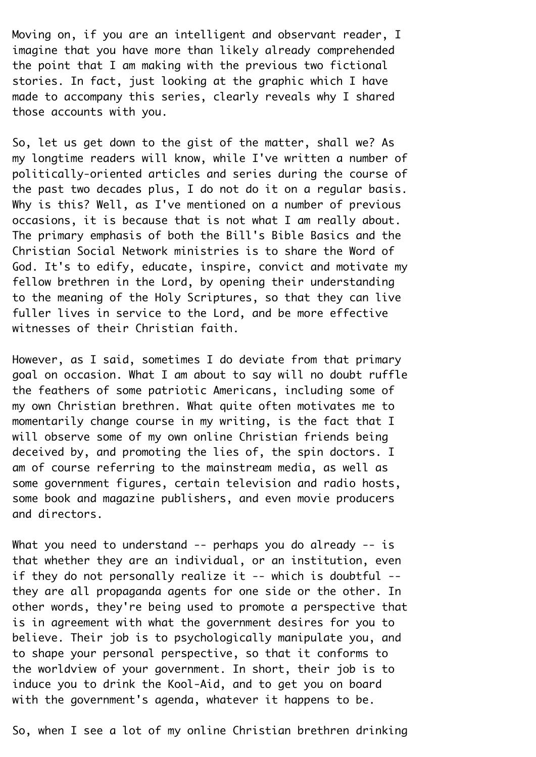Moving on, if you are an intelligent and observant reader, I imagine that you have more than likely already comprehended the point that I am making with the previous two fictional stories. In fact, just looking at the graphic which I have made to accompany this series, clearly reveals why I shared those accounts with you. ¬

So, let us get down to the gist of the matter, shall we? As my longtime readers will know, while I've written a number of politically-oriented articles and series during the course of the past two decades plus, I do not do it on a regular basis. Why is this? Well, as I've mentioned on a number of previous occasions, it is because that is not what I am really about.¬ The primary emphasis of both the Bill's Bible Basics and the¬ Christian Social Network ministries is to share the Word of¬ God. It's to edify, educate, inspire, convict and motivate my fellow brethren in the Lord, by opening their understanding to the meaning of the Holy Scriptures, so that they can live fuller lives in service to the Lord, and be more effective witnesses of their Christian faith.

However, as I said, sometimes I do deviate from that primary goal on occasion. What I am about to say will no doubt ruffle the feathers of some patriotic Americans, including some of my own Christian brethren. What quite often motivates me to momentarily change course in my writing, is the fact that I will observe some of my own online Christian friends being deceived by, and promoting the lies of, the spin doctors. I am of course referring to the mainstream media, as well as some government figures, certain television and radio hosts, some book and magazine publishers, and even movie producers and directors.¬

What you need to understand  $-$ - perhaps you do already  $-$ - is that whether they are an individual, or an institution, even if they do not personally realize it  $--$  which is doubtful  $-$ they are all propaganda agents for one side or the other. In other words, they're being used to promote a perspective that is in agreement with what the government desires for you to believe. Their job is to psychologically manipulate you, and to shape your personal perspective, so that it conforms to the worldview of your government. In short, their job is to induce you to drink the Kool-Aid, and to get you on board with the government's agenda, whatever it happens to be.

So, when I see a lot of my online Christian brethren drinking¬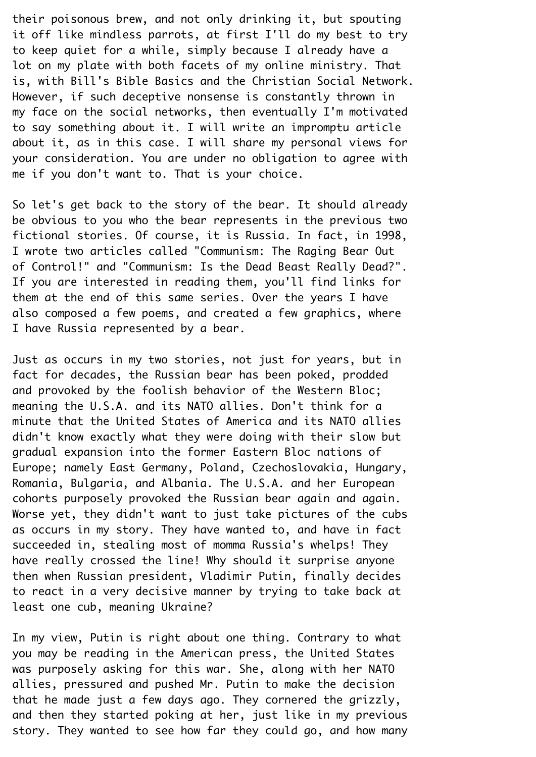their poisonous brew, and not only drinking it, but spouting it off like mindless parrots, at first I'll do my best to try to keep quiet for a while, simply because I already have a lot on my plate with both facets of my online ministry. That is, with Bill's Bible Basics and the Christian Social Network.¬ However, if such deceptive nonsense is constantly thrown in my face on the social networks, then eventually I'm motivated to say something about it. I will write an impromptu article about it, as in this case. I will share my personal views for your consideration. You are under no obligation to agree with me if you don't want to. That is your choice.

So let's get back to the story of the bear. It should already be obvious to you who the bear represents in the previous two fictional stories. Of course, it is Russia. In fact, in 1998, I wrote two articles called "Communism: The Raging Bear Out of Control!" and "Communism: Is the Dead Beast Really Dead?".¬ If you are interested in reading them, you'll find links for them at the end of this same series. Over the years I have also composed a few poems, and created a few graphics, where I have Russia represented by a bear.

Just as occurs in my two stories, not just for years, but in fact for decades, the Russian bear has been poked, prodded and provoked by the foolish behavior of the Western Bloc; meaning the U.S.A. and its NATO allies. Don't think for a minute that the United States of America and its NATO allies didn't know exactly what they were doing with their slow but gradual expansion into the former Eastern Bloc nations of¬ Europe; namely East Germany, Poland, Czechoslovakia, Hungary,¬ Romania, Bulgaria, and Albania. The U.S.A. and her European cohorts purposely provoked the Russian bear again and again.¬ Worse yet, they didn't want to just take pictures of the cubs as occurs in my story. They have wanted to, and have in fact succeeded in, stealing most of momma Russia's whelps! They have really crossed the line! Why should it surprise anyone then when Russian president, Vladimir Putin, finally decides to react in a very decisive manner by trying to take back at least one cub, meaning Ukraine?¬

In my view, Putin is right about one thing. Contrary to what you may be reading in the American press, the United States was purposely asking for this war. She, along with her NATO allies, pressured and pushed Mr. Putin to make the decision that he made just a few days ago. They cornered the grizzly, and then they started poking at her, just like in my previous story. They wanted to see how far they could go, and how many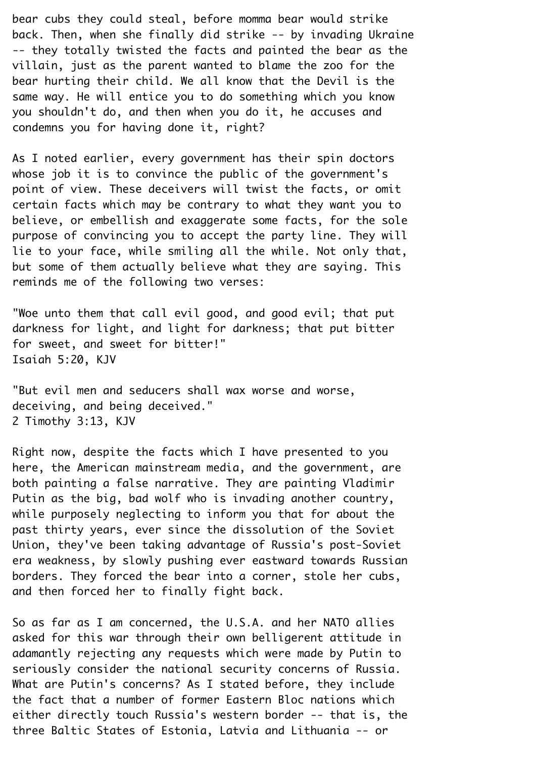bear cubs they could steal, before momma bear would strike back. Then, when she finally did strike -- by invading Ukraine¬ -- they totally twisted the facts and painted the bear as the villain, just as the parent wanted to blame the zoo for the bear hurting their child. We all know that the Devil is the same way. He will entice you to do something which you know you shouldn't do, and then when you do it, he accuses and condemns you for having done it, right?¬

As I noted earlier, every government has their spin doctors whose job it is to convince the public of the government's point of view. These deceivers will twist the facts, or omit certain facts which may be contrary to what they want you to believe, or embellish and exaggerate some facts, for the sole purpose of convincing you to accept the party line. They will lie to your face, while smiling all the while. Not only that, but some of them actually believe what they are saying. This reminds me of the following two verses:

"Woe unto them that call evil good, and good evil; that put darkness for light, and light for darkness; that put bitter for sweet, and sweet for bitter!" Isaiah 5:20, KJV¬

"But evil men and seducers shall wax worse and worse, deceiving, and being deceived." 2 Timothy 3:13, KJV¬

Right now, despite the facts which I have presented to you here, the American mainstream media, and the government, are both painting a false narrative. They are painting Vladimir¬ Putin as the big, bad wolf who is invading another country, while purposely neglecting to inform you that for about the past thirty years, ever since the dissolution of the Soviet¬ Union, they've been taking advantage of Russia's post-Soviet era weakness, by slowly pushing ever eastward towards Russian borders. They forced the bear into a corner, stole her cubs, and then forced her to finally fight back.

So as far as I am concerned, the U.S.A. and her NATO allies asked for this war through their own belligerent attitude in adamantly rejecting any requests which were made by Putin to seriously consider the national security concerns of Russia. What are Putin's concerns? As I stated before, they include the fact that a number of former Eastern Bloc nations which either directly touch Russia's western border -- that is, the three Baltic States of Estonia, Latvia and Lithuania -- or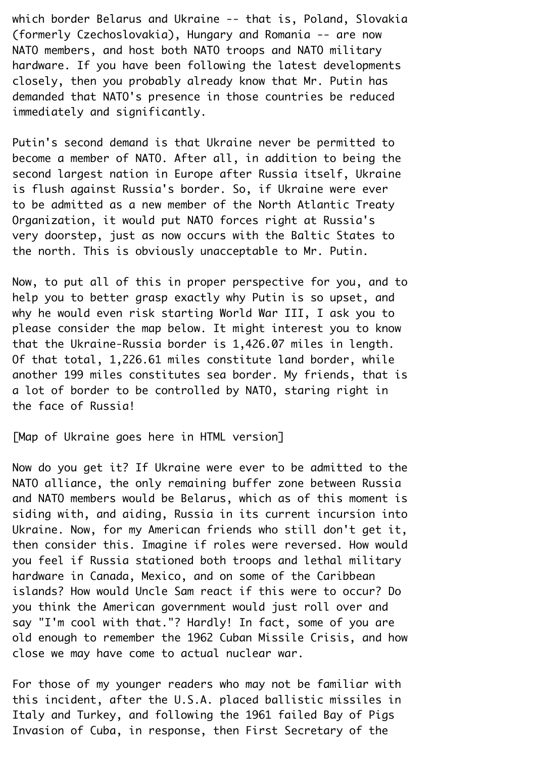which border Belarus and Ukraine -- that is, Poland, Slovakia (formerly Czechoslovakia), Hungary and Romania -- are now¬ NATO members, and host both NATO troops and NATO military hardware. If you have been following the latest developments closely, then you probably already know that Mr. Putin has demanded that NATO's presence in those countries be reduced immediately and significantly.

Putin's second demand is that Ukraine never be permitted to become a member of NATO. After all, in addition to being the second largest nation in Europe after Russia itself, Ukraine is flush against Russia's border. So, if Ukraine were ever to be admitted as a new member of the North Atlantic Treaty¬ Organization, it would put NATO forces right at Russia's very doorstep, just as now occurs with the Baltic States to the north. This is obviously unacceptable to Mr. Putin.¬

Now, to put all of this in proper perspective for you, and to help you to better grasp exactly why Putin is so upset, and why he would even risk starting World War III, I ask you to please consider the map below. It might interest you to know that the Ukraine-Russia border is 1,426.07 miles in length.¬ Of that total, 1,226.61 miles constitute land border, while another 199 miles constitutes sea border. My friends, that is a lot of border to be controlled by NATO, staring right in the face of Russia!¬

[Map of Ukraine goes here in HTML version]¬

Now do you get it? If Ukraine were ever to be admitted to the¬ NATO alliance, the only remaining buffer zone between Russia and NATO members would be Belarus, which as of this moment is siding with, and aiding, Russia in its current incursion into¬ Ukraine. Now, for my American friends who still don't get it, then consider this. Imagine if roles were reversed. How would you feel if Russia stationed both troops and lethal military hardware in Canada, Mexico, and on some of the Caribbean islands? How would Uncle Sam react if this were to occur? Do you think the American government would just roll over and say "I'm cool with that."? Hardly! In fact, some of you are old enough to remember the 1962 Cuban Missile Crisis, and how close we may have come to actual nuclear war.

For those of my younger readers who may not be familiar with this incident, after the U.S.A. placed ballistic missiles in¬ Italy and Turkey, and following the 1961 failed Bay of Pigs¬ Invasion of Cuba, in response, then First Secretary of the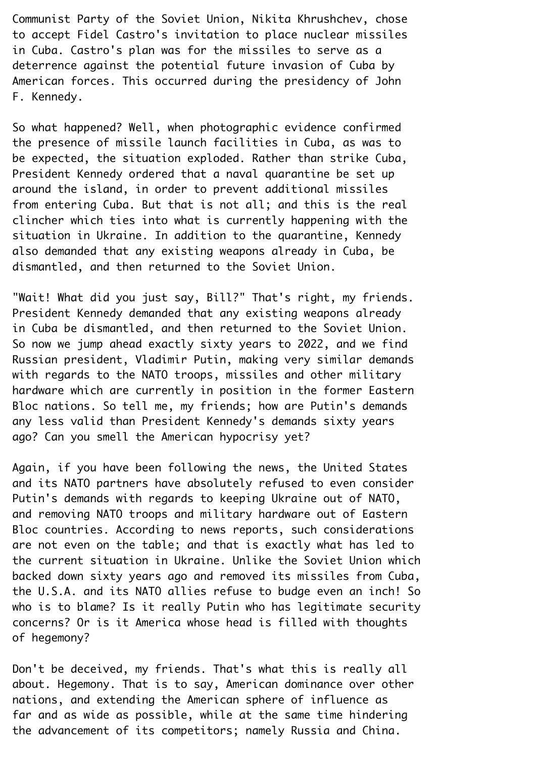Communist Party of the Soviet Union, Nikita Khrushchev, chose to accept Fidel Castro's invitation to place nuclear missiles in Cuba. Castro's plan was for the missiles to serve as a deterrence against the potential future invasion of Cuba by¬ American forces. This occurred during the presidency of John¬ F. Kennedy.

So what happened? Well, when photographic evidence confirmed the presence of missile launch facilities in Cuba, as was to be expected, the situation exploded. Rather than strike Cuba,¬ President Kennedy ordered that a naval quarantine be set up around the island, in order to prevent additional missiles from entering Cuba. But that is not all; and this is the real clincher which ties into what is currently happening with the situation in Ukraine. In addition to the quarantine, Kennedy also demanded that any existing weapons already in Cuba, be dismantled, and then returned to the Soviet Union.¬

"Wait! What did you just say, Bill?" That's right, my friends.¬ President Kennedy demanded that any existing weapons already in Cuba be dismantled, and then returned to the Soviet Union. So now we jump ahead exactly sixty years to 2022, and we find¬ Russian president, Vladimir Putin, making very similar demands with regards to the NATO troops, missiles and other military hardware which are currently in position in the former Eastern Bloc nations. So tell me, my friends; how are Putin's demands any less valid than President Kennedy's demands sixty years ago? Can you smell the American hypocrisy yet?¬

Again, if you have been following the news, the United States and its NATO partners have absolutely refused to even consider¬ Putin's demands with regards to keeping Ukraine out of NATO, and removing NATO troops and military hardware out of Eastern Bloc countries. According to news reports, such considerations are not even on the table; and that is exactly what has led to the current situation in Ukraine. Unlike the Soviet Union which backed down sixty years ago and removed its missiles from Cuba, the U.S.A. and its NATO allies refuse to budge even an inch! So who is to blame? Is it really Putin who has legitimate security concerns? Or is it America whose head is filled with thoughts of hegemony?¬

Don't be deceived, my friends. That's what this is really all about. Hegemony. That is to say, American dominance over other nations, and extending the American sphere of influence as far and as wide as possible, while at the same time hindering the advancement of its competitors; namely Russia and China.¬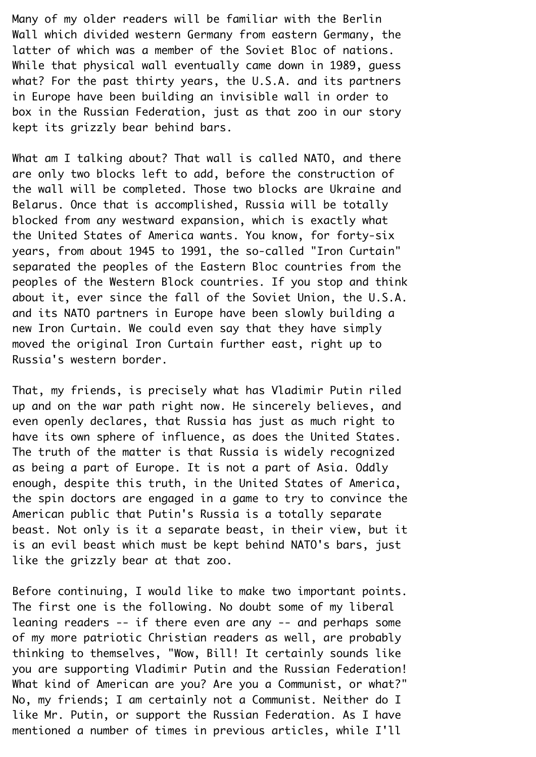Many of my older readers will be familiar with the Berlin¬ Wall which divided western Germany from eastern Germany, the latter of which was a member of the Soviet Bloc of nations.¬ While that physical wall eventually came down in 1989, guess what? For the past thirty years, the U.S.A. and its partners in Europe have been building an invisible wall in order to box in the Russian Federation, just as that zoo in our story kept its grizzly bear behind bars.¬

What am I talking about? That wall is called NATO, and there are only two blocks left to add, before the construction of the wall will be completed. Those two blocks are Ukraine and¬ Belarus. Once that is accomplished, Russia will be totally blocked from any westward expansion, which is exactly what the United States of America wants. You know, for forty-six years, from about 1945 to 1991, the so-called "Iron Curtain" separated the peoples of the Eastern Bloc countries from the peoples of the Western Block countries. If you stop and think about it, ever since the fall of the Soviet Union, the U.S.A. and its NATO partners in Europe have been slowly building a new Iron Curtain. We could even say that they have simply moved the original Iron Curtain further east, right up to¬ Russia's western border.¬

That, my friends, is precisely what has Vladimir Putin riled up and on the war path right now. He sincerely believes, and even openly declares, that Russia has just as much right to have its own sphere of influence, as does the United States. The truth of the matter is that Russia is widely recognized as being a part of Europe. It is not a part of Asia. Oddly enough, despite this truth, in the United States of America, the spin doctors are engaged in a game to try to convince the¬ American public that Putin's Russia is a totally separate beast. Not only is it a separate beast, in their view, but it is an evil beast which must be kept behind NATO's bars, just like the grizzly bear at that zoo.

Before continuing, I would like to make two important points.¬ The first one is the following. No doubt some of my liberal leaning readers  $-$  if there even are any  $-$  and perhaps some of my more patriotic Christian readers as well, are probably thinking to themselves, "Wow, Bill! It certainly sounds like you are supporting Vladimir Putin and the Russian Federation!¬ What kind of American are you? Are you a Communist, or what?" No, my friends; I am certainly not a Communist. Neither do I like Mr. Putin, or support the Russian Federation. As I have mentioned a number of times in previous articles, while I'll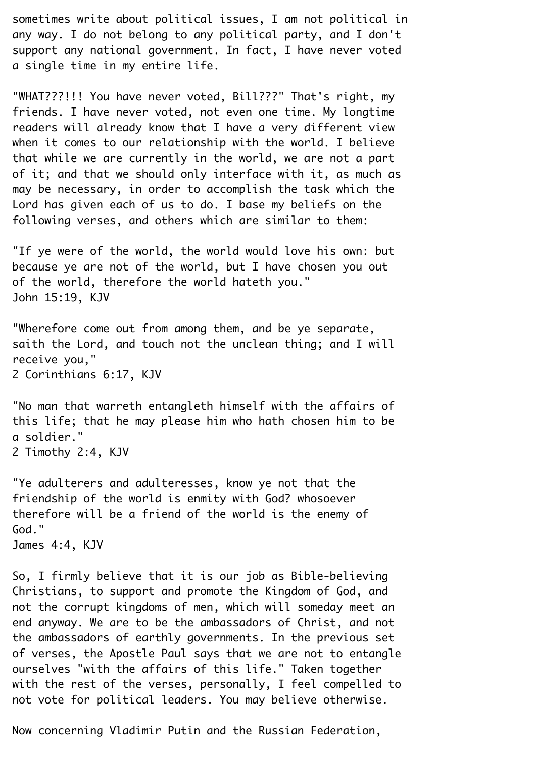sometimes write about political issues, I am not political in any way. I do not belong to any political party, and I don't support any national government. In fact, I have never voted a single time in my entire life.

"WHAT???!!! You have never voted, Bill???" That's right, my friends. I have never voted, not even one time. My longtime readers will already know that I have a very different view when it comes to our relationship with the world. I believe that while we are currently in the world, we are not a part of it; and that we should only interface with it, as much as may be necessary, in order to accomplish the task which the Lord has given each of us to do. I base my beliefs on the following verses, and others which are similar to them:

"If ye were of the world, the world would love his own: but because ye are not of the world, but I have chosen you out of the world, therefore the world hateth you." John 15:19, KJV¬

"Wherefore come out from among them, and be ye separate, saith the Lord, and touch not the unclean thing; and I will receive you,"¬ 2 Corinthians 6:17, KJV¬

"No man that warreth entangleth himself with the affairs of this life; that he may please him who hath chosen him to be a soldier."¬

2 Timothy 2:4, KJV¬

"Ye adulterers and adulteresses, know ye not that the friendship of the world is enmity with God? whosoever therefore will be a friend of the world is the enemy of¬ God."

James 4:4, KJV¬

So, I firmly believe that it is our job as Bible-believing¬ Christians, to support and promote the Kingdom of God, and not the corrupt kingdoms of men, which will someday meet an end anyway. We are to be the ambassadors of Christ, and not the ambassadors of earthly governments. In the previous set of verses, the Apostle Paul says that we are not to entangle ourselves "with the affairs of this life." Taken together with the rest of the verses, personally, I feel compelled to not vote for political leaders. You may believe otherwise.¬

Now concerning Vladimir Putin and the Russian Federation,¬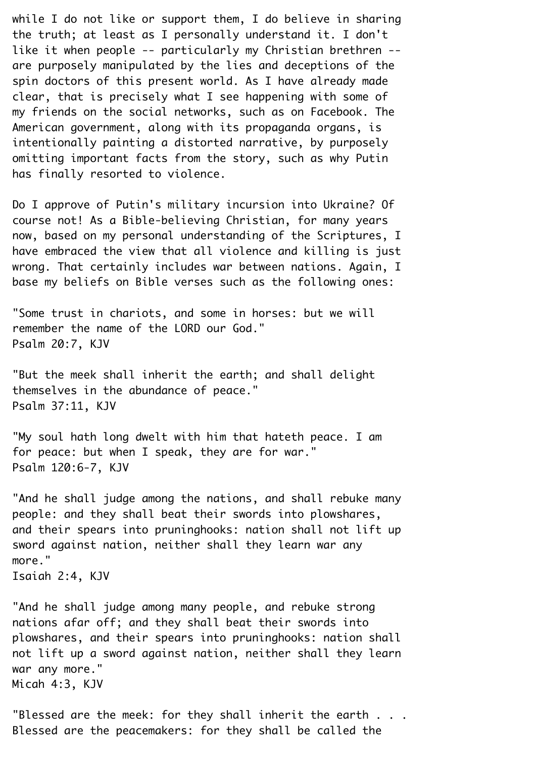while I do not like or support them, I do believe in sharing the truth; at least as I personally understand it. I don't like it when people -- particularly my Christian brethren -are purposely manipulated by the lies and deceptions of the spin doctors of this present world. As I have already made clear, that is precisely what I see happening with some of my friends on the social networks, such as on Facebook. The¬ American government, along with its propaganda organs, is intentionally painting a distorted narrative, by purposely omitting important facts from the story, such as why Putin has finally resorted to violence.

Do I approve of Putin's military incursion into Ukraine? Of course not! As a Bible-believing Christian, for many years now, based on my personal understanding of the Scriptures, I have embraced the view that all violence and killing is just wrong. That certainly includes war between nations. Again, I base my beliefs on Bible verses such as the following ones:¬

"Some trust in chariots, and some in horses: but we will remember the name of the LORD our God." Psalm 20:7, KJV¬

"But the meek shall inherit the earth; and shall delight themselves in the abundance of peace." Psalm 37:11, KJV¬

"My soul hath long dwelt with him that hateth peace. I am for peace: but when I speak, they are for war." Psalm 120:6-7, KJV¬

"And he shall judge among the nations, and shall rebuke many people: and they shall beat their swords into plowshares, and their spears into pruninghooks: nation shall not lift up sword against nation, neither shall they learn war any more."

Isaiah 2:4, KJV¬

"And he shall judge among many people, and rebuke strong nations afar off; and they shall beat their swords into plowshares, and their spears into pruninghooks: nation shall not lift up a sword against nation, neither shall they learn war any more." Micah 4:3, KJV¬

"Blessed are the meek: for they shall inherit the earth  $\ldots$ . Blessed are the peacemakers: for they shall be called the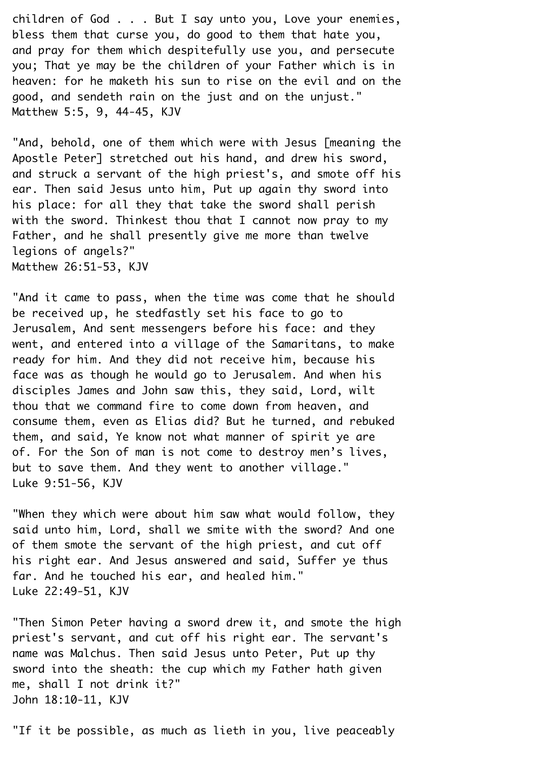children of God . . . But I say unto you, Love your enemies, bless them that curse you, do good to them that hate you, and pray for them which despitefully use you, and persecute you; That ye may be the children of your Father which is in heaven: for he maketh his sun to rise on the evil and on the good, and sendeth rain on the just and on the unjust." Matthew 5:5, 9, 44-45, KJV¬

"And, behold, one of them which were with Jesus [meaning the Apostle Peter] stretched out his hand, and drew his sword, and struck a servant of the high priest's, and smote off his ear. Then said Jesus unto him, Put up again thy sword into his place: for all they that take the sword shall perish with the sword. Thinkest thou that I cannot now pray to my Father, and he shall presently give me more than twelve legions of angels?"¬ Matthew 26:51-53, KJV¬

"And it came to pass, when the time was come that he should be received up, he stedfastly set his face to go to¬ Jerusalem, And sent messengers before his face: and they went, and entered into a village of the Samaritans, to make ready for him. And they did not receive him, because his face was as though he would go to Jerusalem. And when his disciples James and John saw this, they said, Lord, wilt thou that we command fire to come down from heaven, and consume them, even as Elias did? But he turned, and rebuked them, and said, Ye know not what manner of spirit ye are of. For the Son of man is not come to destroy men's lives, but to save them. And they went to another village." Luke 9:51-56, KJV¬

"When they which were about him saw what would follow, they said unto him, Lord, shall we smite with the sword? And one of them smote the servant of the high priest, and cut off his right ear. And Jesus answered and said, Suffer ye thus far. And he touched his ear, and healed him." Luke 22:49-51, KJV¬

"Then Simon Peter having a sword drew it, and smote the high priest's servant, and cut off his right ear. The servant's name was Malchus. Then said Jesus unto Peter, Put up thy sword into the sheath: the cup which my Father hath given me, shall I not drink it?"¬ John 18:10-11, KJV¬

"If it be possible, as much as lieth in you, live peaceably¬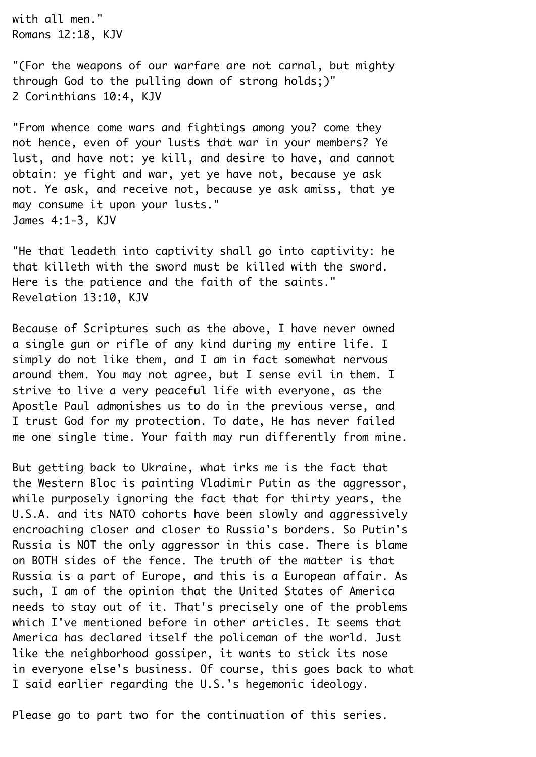with all men." Romans 12:18, KJV¬

"(For the weapons of our warfare are not carnal, but mighty through God to the pulling down of strong holds;)" 2 Corinthians 10:4, KJV¬

"From whence come wars and fightings among you? come they not hence, even of your lusts that war in your members? Ye lust, and have not: ye kill, and desire to have, and cannot obtain: ye fight and war, yet ye have not, because ye ask not. Ye ask, and receive not, because ye ask amiss, that ye may consume it upon your lusts."¬ James 4:1-3, KJV¬

"He that leadeth into captivity shall go into captivity: he that killeth with the sword must be killed with the sword.¬ Here is the patience and the faith of the saints." Revelation 13:10, KJV¬

Because of Scriptures such as the above, I have never owned a single gun or rifle of any kind during my entire life. I simply do not like them, and I am in fact somewhat nervous around them. You may not agree, but I sense evil in them. I strive to live a very peaceful life with everyone, as the Apostle Paul admonishes us to do in the previous verse, and¬ I trust God for my protection. To date, He has never failed me one single time. Your faith may run differently from mine.

But getting back to Ukraine, what irks me is the fact that the Western Bloc is painting Vladimir Putin as the aggressor, while purposely ignoring the fact that for thirty years, the U.S.A. and its NATO cohorts have been slowly and aggressively encroaching closer and closer to Russia's borders. So Putin's¬ Russia is NOT the only aggressor in this case. There is blame on BOTH sides of the fence. The truth of the matter is that¬ Russia is a part of Europe, and this is a European affair. As such, I am of the opinion that the United States of America needs to stay out of it. That's precisely one of the problems which I've mentioned before in other articles. It seems that America has declared itself the policeman of the world. Just like the neighborhood gossiper, it wants to stick its nose in everyone else's business. Of course, this goes back to what¬ I said earlier regarding the U.S.'s hegemonic ideology.¬

Please go to part two for the continuation of this series.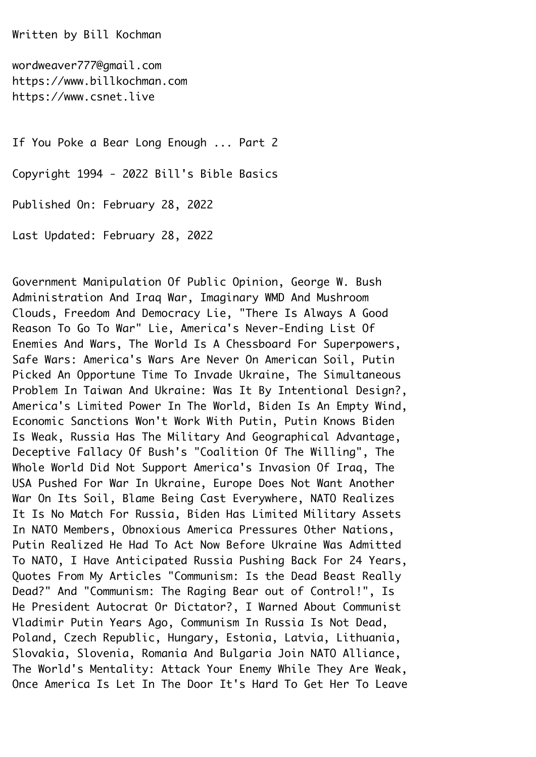Written by Bill Kochman¬

wordweaver777@gmail.com https://www.billkochman.com https://www.csnet.live¬

If You Poke a Bear Long Enough ... Part 2¬

Copyright 1994 - 2022 Bill's Bible Basics¬

Published On: February 28, 2022¬

Last Updated: February 28, 2022¬

Government Manipulation Of Public Opinion, George W. Bush¬ Administration And Iraq War, Imaginary WMD And Mushroom¬ Clouds, Freedom And Democracy Lie, "There Is Always A Good¬ Reason To Go To War" Lie, America's Never-Ending List Of¬ Enemies And Wars, The World Is A Chessboard For Superpowers,¬ Safe Wars: America's Wars Are Never On American Soil, Putin¬ Picked An Opportune Time To Invade Ukraine, The Simultaneous¬ Problem In Taiwan And Ukraine: Was It By Intentional Design?,¬ America's Limited Power In The World, Biden Is An Empty Wind,¬ Economic Sanctions Won't Work With Putin, Putin Knows Biden¬ Is Weak, Russia Has The Military And Geographical Advantage,¬ Deceptive Fallacy Of Bush's "Coalition Of The Willing", The¬ Whole World Did Not Support America's Invasion Of Iraq, The¬ USA Pushed For War In Ukraine, Europe Does Not Want Another¬ War On Its Soil, Blame Being Cast Everywhere, NATO Realizes It Is No Match For Russia, Biden Has Limited Military Assets¬ In NATO Members, Obnoxious America Pressures Other Nations,¬ Putin Realized He Had To Act Now Before Ukraine Was Admitted¬ To NATO, I Have Anticipated Russia Pushing Back For 24 Years,¬ Quotes From My Articles "Communism: Is the Dead Beast Really¬ Dead?" And "Communism: The Raging Bear out of Control!", Is¬ He President Autocrat Or Dictator?, I Warned About Communist¬ Vladimir Putin Years Ago, Communism In Russia Is Not Dead,¬ Poland, Czech Republic, Hungary, Estonia, Latvia, Lithuania,¬ Slovakia, Slovenia, Romania And Bulgaria Join NATO Alliance,¬ The World's Mentality: Attack Your Enemy While They Are Weak,¬ Once America Is Let In The Door It's Hard To Get Her To Leave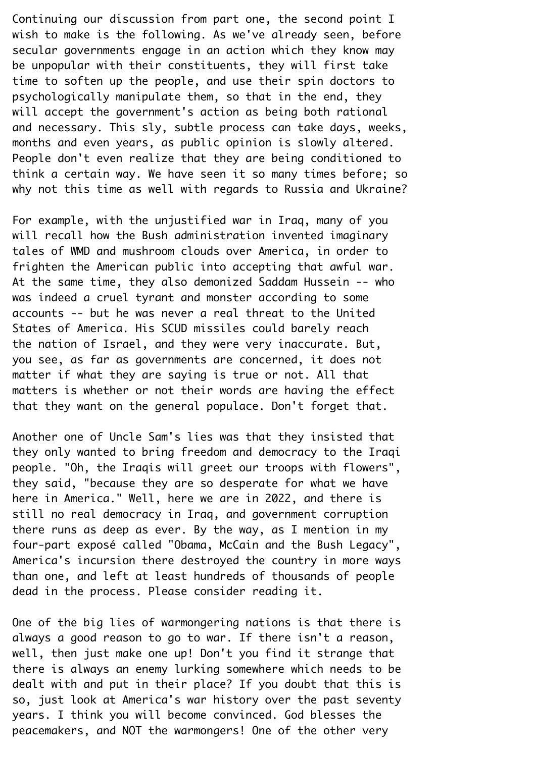Continuing our discussion from part one, the second point I wish to make is the following. As we've already seen, before secular governments engage in an action which they know may be unpopular with their constituents, they will first take time to soften up the people, and use their spin doctors to psychologically manipulate them, so that in the end, they will accept the government's action as being both rational and necessary. This sly, subtle process can take days, weeks, months and even years, as public opinion is slowly altered. People don't even realize that they are being conditioned to think a certain way. We have seen it so many times before; so why not this time as well with regards to Russia and Ukraine?

For example, with the unjustified war in Iraq, many of you will recall how the Bush administration invented imaginary tales of WMD and mushroom clouds over America, in order to frighten the American public into accepting that awful war. At the same time, they also demonized Saddam Hussein -- who was indeed a cruel tyrant and monster according to some accounts -- but he was never a real threat to the United¬ States of America. His SCUD missiles could barely reach the nation of Israel, and they were very inaccurate. But, you see, as far as governments are concerned, it does not matter if what they are saying is true or not. All that matters is whether or not their words are having the effect that they want on the general populace. Don't forget that.¬

Another one of Uncle Sam's lies was that they insisted that they only wanted to bring freedom and democracy to the Iraqi people. "Oh, the Iragis will greet our troops with flowers", they said, "because they are so desperate for what we have here in America." Well, here we are in 2022, and there is still no real democracy in Iraq, and government corruption there runs as deep as ever. By the way, as I mention in my four-part exposé called "Obama, McCain and the Bush Legacy", America's incursion there destroyed the country in more ways than one, and left at least hundreds of thousands of people dead in the process. Please consider reading it.

One of the big lies of warmongering nations is that there is always a good reason to go to war. If there isn't a reason, well, then just make one up! Don't you find it strange that there is always an enemy lurking somewhere which needs to be dealt with and put in their place? If you doubt that this is so, just look at America's war history over the past seventy years. I think you will become convinced. God blesses the peacemakers, and NOT the warmongers! One of the other very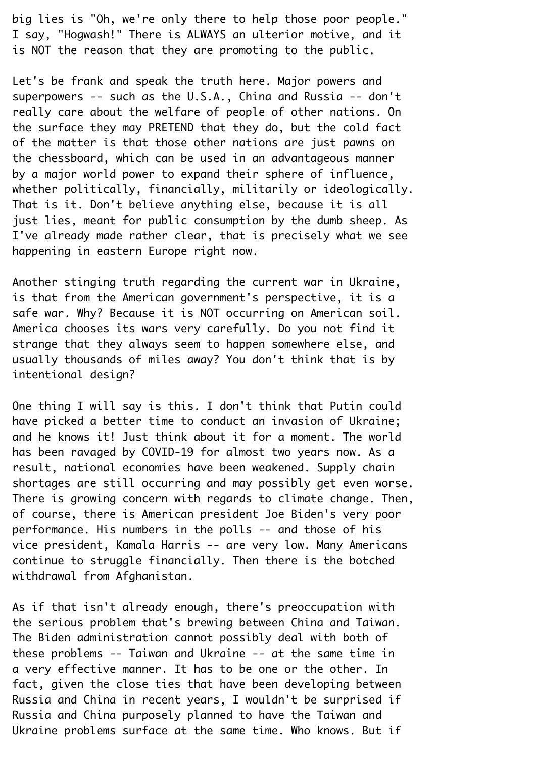big lies is "Oh, we're only there to help those poor people." I say, "Hogwash!" There is ALWAYS an ulterior motive, and it is NOT the reason that they are promoting to the public.

Let's be frank and speak the truth here. Major powers and superpowers -- such as the U.S.A., China and Russia -- don't really care about the welfare of people of other nations. On the surface they may PRETEND that they do, but the cold fact of the matter is that those other nations are just pawns on the chessboard, which can be used in an advantageous manner by a major world power to expand their sphere of influence, whether politically, financially, militarily or ideologically. That is it. Don't believe anything else, because it is all just lies, meant for public consumption by the dumb sheep. As¬ I've already made rather clear, that is precisely what we see happening in eastern Europe right now.

Another stinging truth regarding the current war in Ukraine, is that from the American government's perspective, it is a safe war. Why? Because it is NOT occurring on American soil. America chooses its wars very carefully. Do you not find it strange that they always seem to happen somewhere else, and usually thousands of miles away? You don't think that is by intentional design?¬

One thing I will say is this. I don't think that Putin could have picked a better time to conduct an invasion of Ukraine; and he knows it! Just think about it for a moment. The world has been ravaged by COVID-19 for almost two years now. As a result, national economies have been weakened. Supply chain shortages are still occurring and may possibly get even worse. There is growing concern with regards to climate change. Then, of course, there is American president Joe Biden's very poor performance. His numbers in the polls -- and those of his vice president, Kamala Harris -- are very low. Many Americans continue to struggle financially. Then there is the botched withdrawal from Afahanistan.

As if that isn't already enough, there's preoccupation with the serious problem that's brewing between China and Taiwan.¬ The Biden administration cannot possibly deal with both of these problems -- Taiwan and Ukraine -- at the same time in a very effective manner. It has to be one or the other. In fact, given the close ties that have been developing between Russia and China in recent years, I wouldn't be surprised if¬ Russia and China purposely planned to have the Taiwan and¬ Ukraine problems surface at the same time. Who knows. But if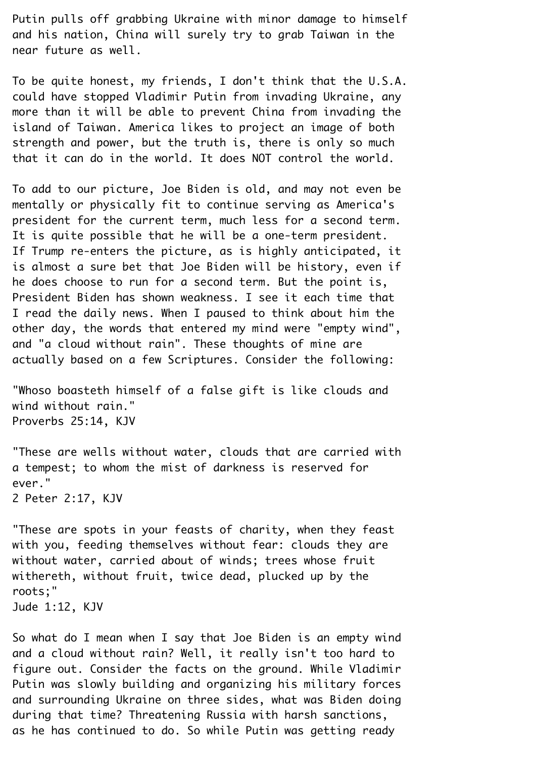Putin pulls off grabbing Ukraine with minor damage to himself and his nation, China will surely try to grab Taiwan in the near future as well.¬

To be quite honest, my friends, I don't think that the U.S.A. could have stopped Vladimir Putin from invading Ukraine, any more than it will be able to prevent China from invading the island of Taiwan. America likes to project an image of both strength and power, but the truth is, there is only so much that it can do in the world. It does NOT control the world.¬

To add to our picture, Joe Biden is old, and may not even be mentally or physically fit to continue serving as America's president for the current term, much less for a second term. It is quite possible that he will be a one-term president. If Trump re-enters the picture, as is highly anticipated, it is almost a sure bet that Joe Biden will be history, even if he does choose to run for a second term. But the point is, President Biden has shown weakness. I see it each time that¬ I read the daily news. When I paused to think about him the other day, the words that entered my mind were "empty wind", and "a cloud without rain". These thoughts of mine are actually based on a few Scriptures. Consider the following:

"Whoso boasteth himself of a false gift is like clouds and wind without rain." Proverbs 25:14, KJV¬

"These are wells without water, clouds that are carried with a tempest; to whom the mist of darkness is reserved for ever." 2 Peter 2:17, KJV¬

"These are spots in your feasts of charity, when they feast with you, feeding themselves without fear: clouds they are without water, carried about of winds; trees whose fruit withereth, without fruit, twice dead, plucked up by the roots;"¬ Jude 1:12, KJV¬

So what do I mean when I say that Joe Biden is an empty wind and a cloud without rain? Well, it really isn't too hard to figure out. Consider the facts on the ground. While Vladimir¬ Putin was slowly building and organizing his military forces and surrounding Ukraine on three sides, what was Biden doing during that time? Threatening Russia with harsh sanctions, as he has continued to do. So while Putin was getting ready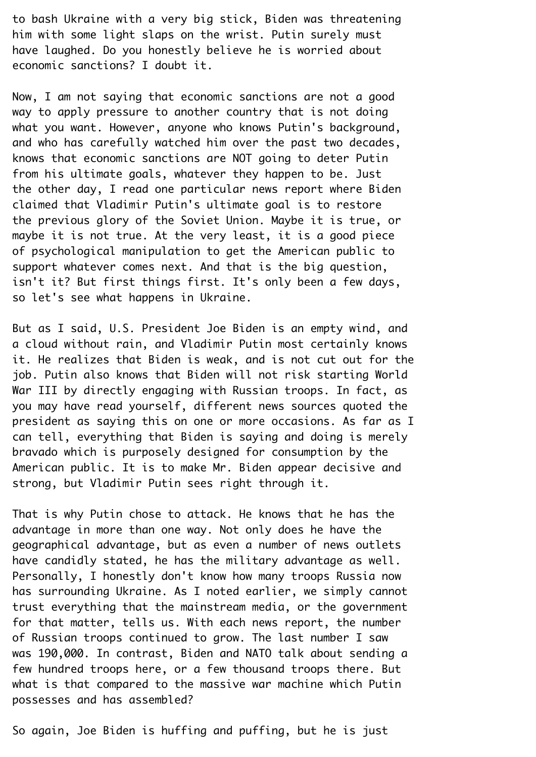to bash Ukraine with a very big stick, Biden was threatening him with some light slaps on the wrist. Putin surely must have laughed. Do you honestly believe he is worried about economic sanctions? I doubt it.¬

Now, I am not saying that economic sanctions are not a good way to apply pressure to another country that is not doing what you want. However, anyone who knows Putin's background, and who has carefully watched him over the past two decades, knows that economic sanctions are NOT going to deter Putin from his ultimate goals, whatever they happen to be. Just the other day, I read one particular news report where Biden claimed that Vladimir Putin's ultimate goal is to restore the previous glory of the Soviet Union. Maybe it is true, or maybe it is not true. At the very least, it is a good piece of psychological manipulation to get the American public to support whatever comes next. And that is the big question, isn't it? But first things first. It's only been a few days, so let's see what happens in Ukraine.

But as I said, U.S. President Joe Biden is an empty wind, and a cloud without rain, and Vladimir Putin most certainly knows it. He realizes that Biden is weak, and is not cut out for the job. Putin also knows that Biden will not risk starting World¬ War III by directly engaging with Russian troops. In fact, as you may have read yourself, different news sources quoted the president as saying this on one or more occasions. As far as I can tell, everything that Biden is saying and doing is merely bravado which is purposely designed for consumption by the¬ American public. It is to make Mr. Biden appear decisive and strong, but Vladimir Putin sees right through it.¬

That is why Putin chose to attack. He knows that he has the advantage in more than one way. Not only does he have the geographical advantage, but as even a number of news outlets have candidly stated, he has the military advantage as well. Personally, I honestly don't know how many troops Russia now has surrounding Ukraine. As I noted earlier, we simply cannot trust everything that the mainstream media, or the government for that matter, tells us. With each news report, the number of Russian troops continued to grow. The last number I saw was 190,000. In contrast, Biden and NATO talk about sending a few hundred troops here, or a few thousand troops there. But what is that compared to the massive war machine which Putin possesses and has assembled?¬

So again, Joe Biden is huffing and puffing, but he is just¬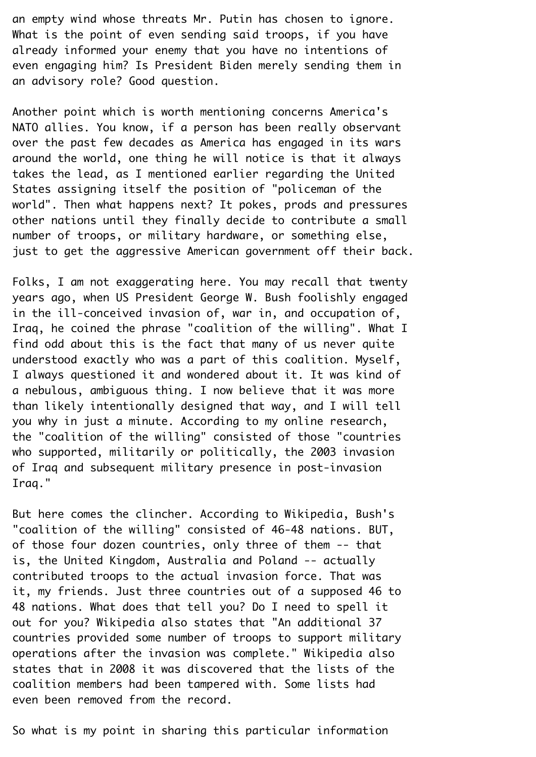an empty wind whose threats Mr. Putin has chosen to ignore. What is the point of even sending said troops, if you have already informed your enemy that you have no intentions of even engaging him? Is President Biden merely sending them in an advisory role? Good question.¬

Another point which is worth mentioning concerns America's¬ NATO allies. You know, if a person has been really observant over the past few decades as America has engaged in its wars around the world, one thing he will notice is that it always takes the lead, as I mentioned earlier regarding the United¬ States assigning itself the position of "policeman of the world". Then what happens next? It pokes, prods and pressures other nations until they finally decide to contribute a small number of troops, or military hardware, or something else, just to get the aggressive American government off their back.

Folks, I am not exaggerating here. You may recall that twenty years ago, when US President George W. Bush foolishly engaged in the ill-conceived invasion of, war in, and occupation of,¬ Iraq, he coined the phrase "coalition of the willing". What I find odd about this is the fact that many of us never quite understood exactly who was a part of this coalition. Myself,¬ I always questioned it and wondered about it. It was kind of a nebulous, ambiguous thing. I now believe that it was more than likely intentionally designed that way, and I will tell you why in just a minute. According to my online research, the "coalition of the willing" consisted of those "countries who supported, militarily or politically, the 2003 invasion of Iraq and subsequent military presence in post-invasion¬ Iraq."¬

But here comes the clincher. According to Wikipedia, Bush's¬ "coalition of the willing" consisted of 46-48 nations. BUT, of those four dozen countries, only three of them -- that is, the United Kingdom, Australia and Poland -- actually contributed troops to the actual invasion force. That was it, my friends. Just three countries out of a supposed 46 to¬ 48 nations. What does that tell you? Do I need to spell it out for you? Wikipedia also states that "An additional 37 countries provided some number of troops to support military operations after the invasion was complete." Wikipedia also states that in 2008 it was discovered that the lists of the coalition members had been tampered with. Some lists had even been removed from the record.

So what is my point in sharing this particular information¬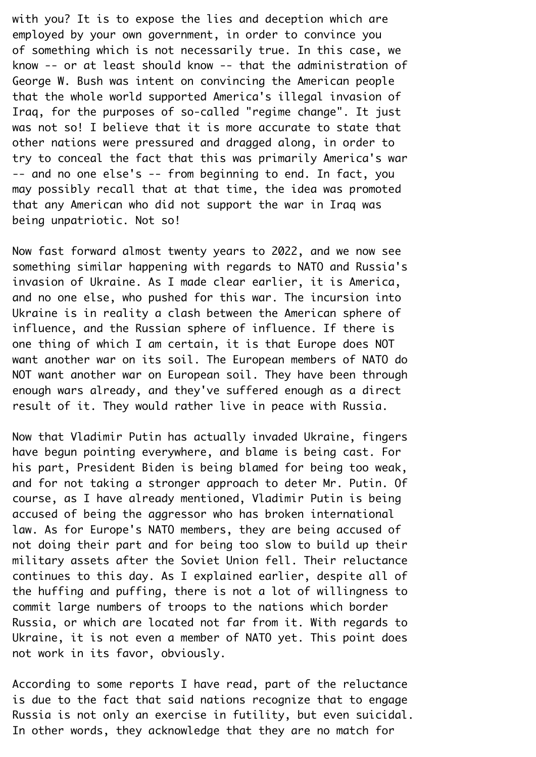with you? It is to expose the lies and deception which are employed by your own government, in order to convince you of something which is not necessarily true. In this case, we know -- or at least should know -- that the administration of¬ George W. Bush was intent on convincing the American people that the whole world supported America's illegal invasion of¬ Iraq, for the purposes of so-called "regime change". It just was not so! I believe that it is more accurate to state that other nations were pressured and dragged along, in order to try to conceal the fact that this was primarily America's war¬ -- and no one else's -- from beginning to end. In fact, you may possibly recall that at that time, the idea was promoted that any American who did not support the war in Iraq was being unpatriotic. Not so!¬

Now fast forward almost twenty years to 2022, and we now see something similar happening with regards to NATO and Russia's invasion of Ukraine. As I made clear earlier, it is America, and no one else, who pushed for this war. The incursion into¬ Ukraine is in reality a clash between the American sphere of influence, and the Russian sphere of influence. If there is one thing of which I am certain, it is that Europe does NOT want another war on its soil. The European members of NATO do¬ NOT want another war on European soil. They have been through enough wars already, and they've suffered enough as a direct result of it. They would rather live in peace with Russia.

Now that Vladimir Putin has actually invaded Ukraine, fingers have begun pointing everywhere, and blame is being cast. For his part, President Biden is being blamed for being too weak, and for not taking a stronger approach to deter Mr. Putin. Of course, as I have already mentioned, Vladimir Putin is being accused of being the aggressor who has broken international law. As for Europe's NATO members, they are being accused of not doing their part and for being too slow to build up their military assets after the Soviet Union fell. Their reluctance continues to this day. As I explained earlier, despite all of the huffing and puffing, there is not a lot of willingness to commit large numbers of troops to the nations which border¬ Russia, or which are located not far from it. With regards to¬ Ukraine, it is not even a member of NATO yet. This point does not work in its favor, obviously.¬

According to some reports I have read, part of the reluctance is due to the fact that said nations recognize that to engage Russia is not only an exercise in futility, but even suicidal.¬ In other words, they acknowledge that they are no match for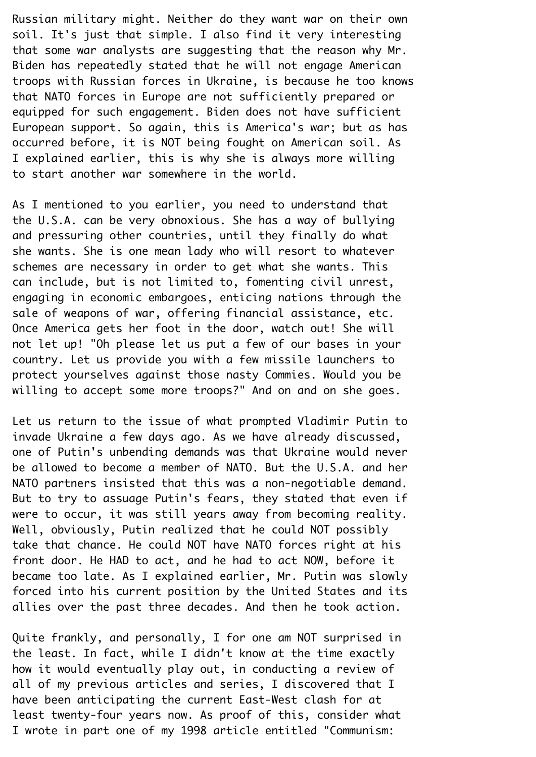Russian military might. Neither do they want war on their own soil. It's just that simple. I also find it very interesting that some war analysts are suggesting that the reason why Mr. Biden has repeatedly stated that he will not engage American troops with Russian forces in Ukraine, is because he too knows that NATO forces in Europe are not sufficiently prepared or equipped for such engagement. Biden does not have sufficient¬ European support. So again, this is America's war; but as has occurred before, it is NOT being fought on American soil. As¬ I explained earlier, this is why she is always more willing to start another war somewhere in the world.¬

As I mentioned to you earlier, you need to understand that the U.S.A. can be very obnoxious. She has a way of bullying and pressuring other countries, until they finally do what she wants. She is one mean lady who will resort to whatever schemes are necessary in order to get what she wants. This can include, but is not limited to, fomenting civil unrest, engaging in economic embargoes, enticing nations through the sale of weapons of war, offering financial assistance, etc. Once America gets her foot in the door, watch out! She will not let up! "Oh please let us put a few of our bases in your country. Let us provide you with a few missile launchers to protect yourselves against those nasty Commies. Would you be willing to accept some more troops?" And on and on she goes.

Let us return to the issue of what prompted Vladimir Putin to invade Ukraine a few days ago. As we have already discussed, one of Putin's unbending demands was that Ukraine would never be allowed to become a member of NATO. But the U.S.A. and her NATO partners insisted that this was a non-negotiable demand. But to try to assuage Putin's fears, they stated that even if were to occur, it was still years away from becoming reality. Well, obviously, Putin realized that he could NOT possibly take that chance. He could NOT have NATO forces right at his front door. He HAD to act, and he had to act NOW, before it became too late. As I explained earlier, Mr. Putin was slowly forced into his current position by the United States and its allies over the past three decades. And then he took action.

Quite frankly, and personally, I for one am NOT surprised in the least. In fact, while I didn't know at the time exactly how it would eventually play out, in conducting a review of all of my previous articles and series, I discovered that I have been anticipating the current East-West clash for at least twenty-four years now. As proof of this, consider what¬ I wrote in part one of my 1998 article entitled "Communism: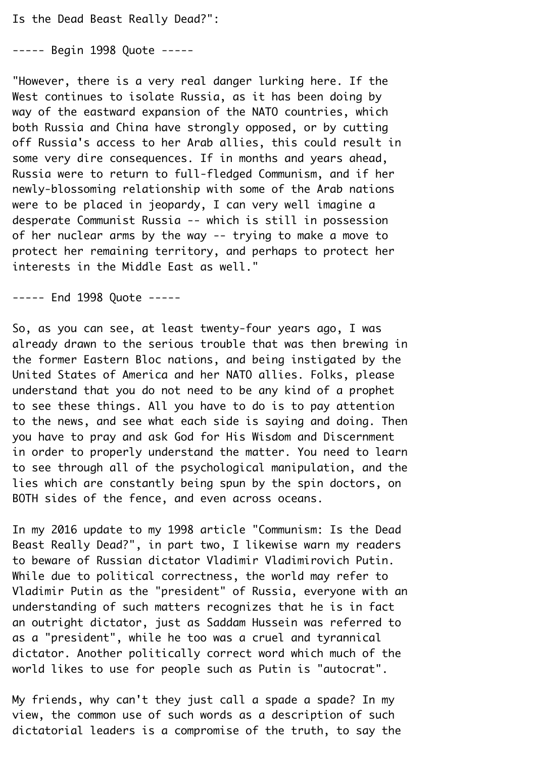Is the Dead Beast Really Dead?":

----- Begin 1998 Ouote -----

"However, there is a very real danger lurking here. If the¬ West continues to isolate Russia, as it has been doing by way of the eastward expansion of the NATO countries, which both Russia and China have strongly opposed, or by cutting off Russia's access to her Arab allies, this could result in some very dire consequences. If in months and years ahead, Russia were to return to full-fledged Communism, and if her newly-blossoming relationship with some of the Arab nations were to be placed in jeopardy, I can very well imagine a desperate Communist Russia -- which is still in possession of her nuclear arms by the way -- trying to make a move to protect her remaining territory, and perhaps to protect her interests in the Middle East as well."¬

----- End 1998 Quote -----

So, as you can see, at least twenty-four years ago, I was already drawn to the serious trouble that was then brewing in the former Eastern Bloc nations, and being instigated by the¬ United States of America and her NATO allies. Folks, please understand that you do not need to be any kind of a prophet to see these things. All you have to do is to pay attention to the news, and see what each side is saying and doing. Then you have to pray and ask God for His Wisdom and Discernment in order to properly understand the matter. You need to learn to see through all of the psychological manipulation, and the lies which are constantly being spun by the spin doctors, on¬ BOTH sides of the fence, and even across oceans.¬

In my 2016 update to my 1998 article "Communism: Is the Dead¬ Beast Really Dead?", in part two, I likewise warn my readers to beware of Russian dictator Vladimir Vladimirovich Putin.¬ While due to political correctness, the world may refer to Vladimir Putin as the "president" of Russia, everyone with an understanding of such matters recognizes that he is in fact an outright dictator, just as Saddam Hussein was referred to as a "president", while he too was a cruel and tyrannical dictator. Another politically correct word which much of the world likes to use for people such as Putin is "autocrat".

My friends, why can't they just call a spade a spade? In my view, the common use of such words as a description of such dictatorial leaders is a compromise of the truth, to say the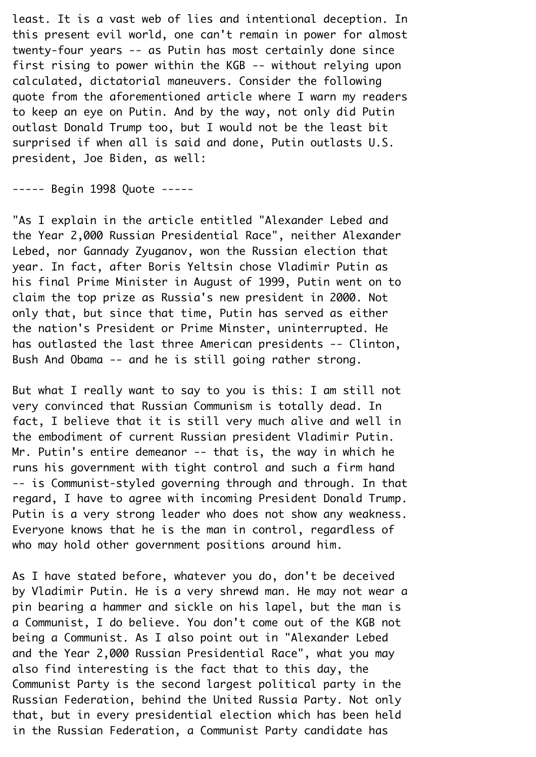least. It is a vast web of lies and intentional deception. In this present evil world, one can't remain in power for almost twenty-four years -- as Putin has most certainly done since first rising to power within the KGB -- without relying upon calculated, dictatorial maneuvers. Consider the following quote from the aforementioned article where I warn my readers to keep an eye on Putin. And by the way, not only did Putin outlast Donald Trump too, but I would not be the least bit surprised if when all is said and done, Putin outlasts U.S. president, Joe Biden, as well:¬

----- Begin 1998 Quote -----

"As I explain in the article entitled "Alexander Lebed and the Year 2,000 Russian Presidential Race", neither Alexander¬ Lebed, nor Gannady Zyuganov, won the Russian election that year. In fact, after Boris Yeltsin chose Vladimir Putin as his final Prime Minister in August of 1999, Putin went on to claim the top prize as Russia's new president in 2000. Not only that, but since that time, Putin has served as either the nation's President or Prime Minster, uninterrupted. He has outlasted the last three American presidents -- Clinton, Bush And Obama -- and he is still going rather strong.¬

But what I really want to say to you is this: I am still not very convinced that Russian Communism is totally dead. In fact, I believe that it is still very much alive and well in the embodiment of current Russian president Vladimir Putin.¬ Mr. Putin's entire demeanor  $-$ - that is, the way in which he runs his government with tight control and such a firm hand¬ -- is Communist-styled governing through and through. In that regard, I have to agree with incoming President Donald Trump. Putin is a very strong leader who does not show any weakness. Everyone knows that he is the man in control, regardless of who may hold other government positions around him.

As I have stated before, whatever you do, don't be deceived by Vladimir Putin. He is a very shrewd man. He may not wear a pin bearing a hammer and sickle on his lapel, but the man is a Communist, I do believe. You don't come out of the KGB not being a Communist. As I also point out in "Alexander Lebed and the Year 2,000 Russian Presidential Race", what you may also find interesting is the fact that to this day, the¬ Communist Party is the second largest political party in the¬ Russian Federation, behind the United Russia Party. Not only that, but in every presidential election which has been held in the Russian Federation, a Communist Party candidate has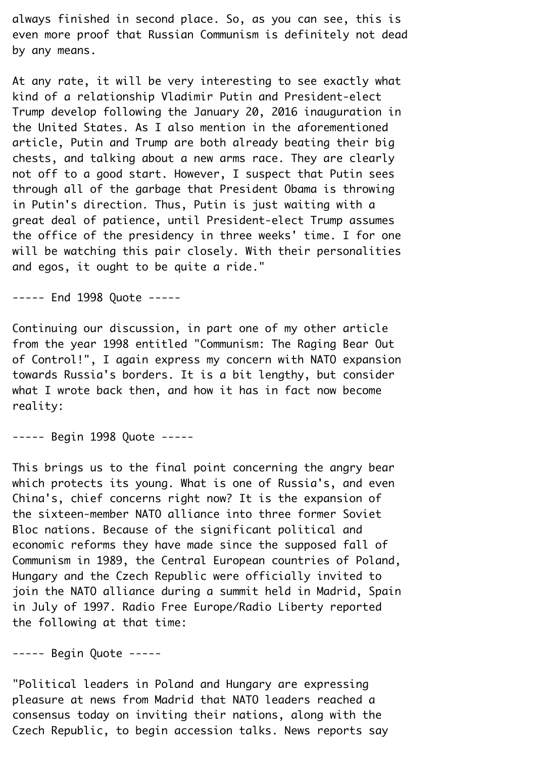always finished in second place. So, as you can see, this is even more proof that Russian Communism is definitely not dead by any means.

At any rate, it will be very interesting to see exactly what kind of a relationship Vladimir Putin and President-elect¬ Trump develop following the January 20, 2016 inauguration in the United States. As I also mention in the aforementioned article, Putin and Trump are both already beating their big chests, and talking about a new arms race. They are clearly not off to a good start. However, I suspect that Putin sees through all of the garbage that President Obama is throwing in Putin's direction. Thus, Putin is just waiting with a great deal of patience, until President-elect Trump assumes the office of the presidency in three weeks' time. I for one will be watching this pair closely. With their personalities and egos, it ought to be quite a ride."¬

----- End 1998 Quote -----

Continuing our discussion, in part one of my other article from the year 1998 entitled "Communism: The Raging Bear Out of Control!", I again express my concern with NATO expansion towards Russia's borders. It is a bit lengthy, but consider what I wrote back then, and how it has in fact now become reality:¬

----- Begin 1998 Quote -----

This brings us to the final point concerning the angry bear which protects its young. What is one of Russia's, and even China's, chief concerns right now? It is the expansion of the sixteen-member NATO alliance into three former Soviet¬ Bloc nations. Because of the significant political and economic reforms they have made since the supposed fall of¬ Communism in 1989, the Central European countries of Poland,¬ Hungary and the Czech Republic were officially invited to join the NATO alliance during a summit held in Madrid, Spain in July of 1997. Radio Free Europe/Radio Liberty reported the following at that time:¬

----- Begin Quote -----

"Political leaders in Poland and Hungary are expressing pleasure at news from Madrid that NATO leaders reached a consensus today on inviting their nations, along with the¬ Czech Republic, to begin accession talks. News reports say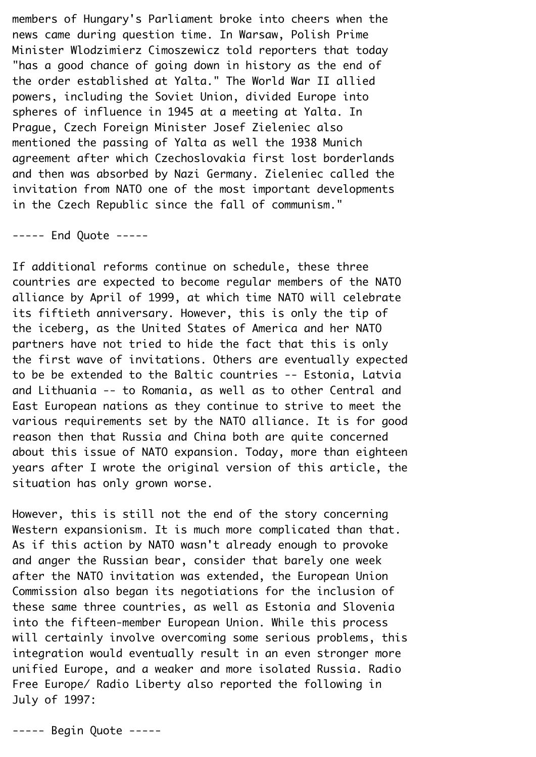members of Hungary's Parliament broke into cheers when the news came during question time. In Warsaw, Polish Prime¬ Minister Wlodzimierz Cimoszewicz told reporters that today¬ "has a good chance of going down in history as the end of the order established at Yalta." The World War II allied powers, including the Soviet Union, divided Europe into spheres of influence in 1945 at a meeting at Yalta. In Prague, Czech Foreign Minister Josef Zieleniec also mentioned the passing of Yalta as well the 1938 Munich agreement after which Czechoslovakia first lost borderlands and then was absorbed by Nazi Germany. Zieleniec called the invitation from NATO one of the most important developments in the Czech Republic since the fall of communism."

----- End Quote -----

If additional reforms continue on schedule, these three countries are expected to become regular members of the NATO alliance by April of 1999, at which time NATO will celebrate its fiftieth anniversary. However, this is only the tip of the iceberg, as the United States of America and her NATO partners have not tried to hide the fact that this is only the first wave of invitations. Others are eventually expected to be be extended to the Baltic countries -- Estonia, Latvia and Lithuania -- to Romania, as well as to other Central and¬ East European nations as they continue to strive to meet the various requirements set by the NATO alliance. It is for good reason then that Russia and China both are quite concerned about this issue of NATO expansion. Today, more than eighteen years after I wrote the original version of this article, the situation has only grown worse.

However, this is still not the end of the story concerning Western expansionism. It is much more complicated than that. As if this action by NATO wasn't already enough to provoke and anger the Russian bear, consider that barely one week after the NATO invitation was extended, the European Union¬ Commission also began its negotiations for the inclusion of these same three countries, as well as Estonia and Slovenia into the fifteen-member European Union. While this process will certainly involve overcoming some serious problems, this integration would eventually result in an even stronger more unified Europe, and a weaker and more isolated Russia. Radio¬ Free Europe/ Radio Liberty also reported the following in¬ July of 1997:

----- Begin Quote -----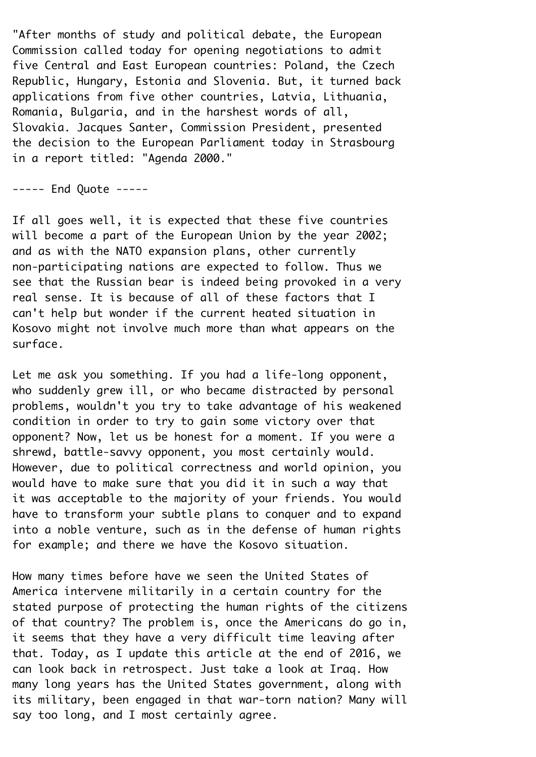"After months of study and political debate, the European¬ Commission called today for opening negotiations to admit five Central and East European countries: Poland, the Czech¬ Republic, Hungary, Estonia and Slovenia. But, it turned back applications from five other countries, Latvia, Lithuania,¬ Romania, Bulgaria, and in the harshest words of all,¬ Slovakia. Jacques Santer, Commission President, presented the decision to the European Parliament today in Strasbourg in a report titled: "Agenda 2000."¬

----- End Quote -----

If all goes well, it is expected that these five countries will become a part of the European Union by the year 2002; and as with the NATO expansion plans, other currently non-participating nations are expected to follow. Thus we see that the Russian bear is indeed being provoked in a very real sense. It is because of all of these factors that I can't help but wonder if the current heated situation in¬ Kosovo might not involve much more than what appears on the surface.

Let me ask you something. If you had a life-long opponent, who suddenly grew ill, or who became distracted by personal problems, wouldn't you try to take advantage of his weakened condition in order to try to gain some victory over that opponent? Now, let us be honest for a moment. If you were a shrewd, battle-savvy opponent, you most certainly would. However, due to political correctness and world opinion, you would have to make sure that you did it in such a way that it was acceptable to the majority of your friends. You would have to transform your subtle plans to conquer and to expand into a noble venture, such as in the defense of human rights for example; and there we have the Kosovo situation.

How many times before have we seen the United States of¬ America intervene militarily in a certain country for the stated purpose of protecting the human rights of the citizens of that country? The problem is, once the Americans do go in, it seems that they have a very difficult time leaving after that. Today, as I update this article at the end of 2016, we can look back in retrospect. Just take a look at Iraq. How many long years has the United States government, along with its military, been engaged in that war-torn nation? Many will say too long, and I most certainly agree.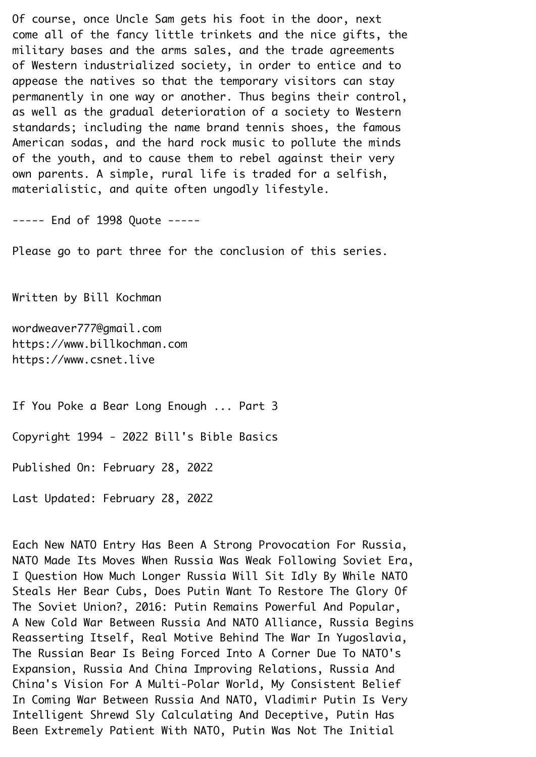Of course, once Uncle Sam gets his foot in the door, next come all of the fancy little trinkets and the nice gifts, the military bases and the arms sales, and the trade agreements of Western industrialized society, in order to entice and to appease the natives so that the temporary visitors can stay permanently in one way or another. Thus begins their control, as well as the gradual deterioration of a society to Western standards; including the name brand tennis shoes, the famous American sodas, and the hard rock music to pollute the minds of the youth, and to cause them to rebel against their very own parents. A simple, rural life is traded for a selfish, materialistic, and quite often ungodly lifestyle.¬

----- End of 1998 Quote -----

Please go to part three for the conclusion of this series.

Written by Bill Kochman¬

wordweaver777@gmail.com https://www.billkochman.com https://www.csnet.live¬

If You Poke a Bear Long Enough ... Part 3¬

Copyright 1994 - 2022 Bill's Bible Basics¬

Published On: February 28, 2022¬

Last Updated: February 28, 2022

Each New NATO Entry Has Been A Strong Provocation For Russia,¬ NATO Made Its Moves When Russia Was Weak Following Soviet Era,¬ I Question How Much Longer Russia Will Sit Idly By While NATO¬ Steals Her Bear Cubs, Does Putin Want To Restore The Glory Of¬ The Soviet Union?, 2016: Putin Remains Powerful And Popular,¬ A New Cold War Between Russia And NATO Alliance, Russia Begins¬ Reasserting Itself, Real Motive Behind The War In Yugoslavia,¬ The Russian Bear Is Being Forced Into A Corner Due To NATO's¬ Expansion, Russia And China Improving Relations, Russia And¬ China's Vision For A Multi-Polar World, My Consistent Belief¬ In Coming War Between Russia And NATO, Vladimir Putin Is Very¬ Intelligent Shrewd Sly Calculating And Deceptive, Putin Has¬ Been Extremely Patient With NATO, Putin Was Not The Initial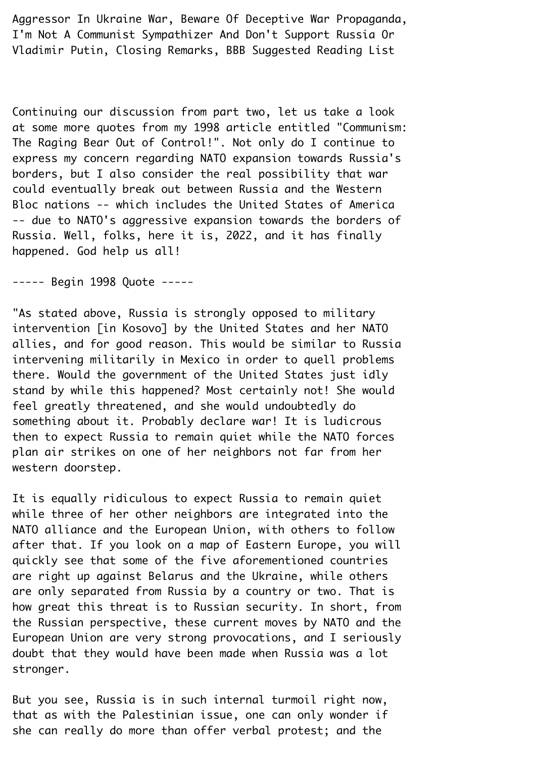Aggressor In Ukraine War, Beware Of Deceptive War Propaganda,¬ I'm Not A Communist Sympathizer And Don't Support Russia Or¬ Vladimir Putin, Closing Remarks, BBB Suggested Reading List¬

Continuing our discussion from part two, let us take a look at some more quotes from my 1998 article entitled "Communism: The Raging Bear Out of Control!". Not only do I continue to express my concern regarding NATO expansion towards Russia's borders, but I also consider the real possibility that war could eventually break out between Russia and the Western Bloc nations -- which includes the United States of America¬ -- due to NATO's aggressive expansion towards the borders of Russia. Well, folks, here it is, 2022, and it has finally happened. God help us all!

----- Begin 1998 Ouote -----

"As stated above, Russia is strongly opposed to military intervention [in Kosovo] by the United States and her NATO allies, and for good reason. This would be similar to Russia intervening militarily in Mexico in order to quell problems there. Would the government of the United States just idly stand by while this happened? Most certainly not! She would feel greatly threatened, and she would undoubtedly do something about it. Probably declare war! It is ludicrous then to expect Russia to remain quiet while the NATO forces plan air strikes on one of her neighbors not far from her western doorstep.¬

It is equally ridiculous to expect Russia to remain quiet while three of her other neighbors are integrated into the NATO alliance and the European Union, with others to follow after that. If you look on a map of Eastern Europe, you will quickly see that some of the five aforementioned countries are right up against Belarus and the Ukraine, while others are only separated from Russia by a country or two. That is how great this threat is to Russian security. In short, from the Russian perspective, these current moves by NATO and the¬ European Union are very strong provocations, and I seriously doubt that they would have been made when Russia was a lot stronger.

But you see, Russia is in such internal turmoil right now, that as with the Palestinian issue, one can only wonder if she can really do more than offer verbal protest; and the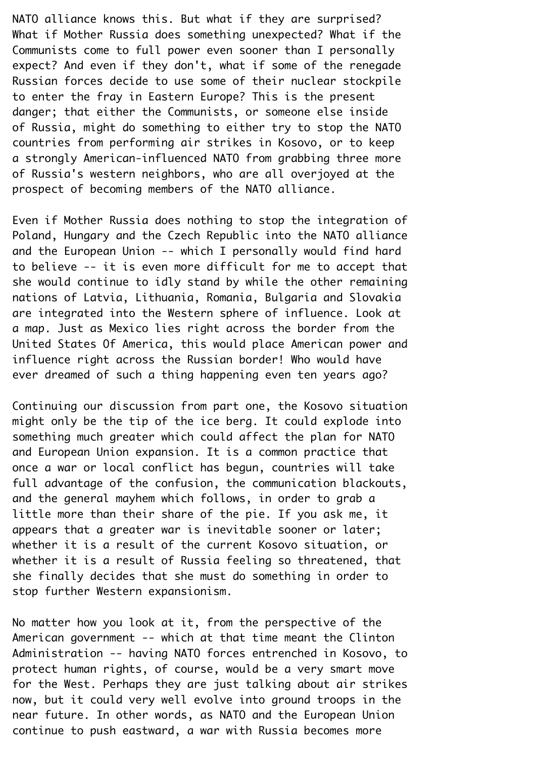NATO alliance knows this. But what if they are surprised? What if Mother Russia does something unexpected? What if the Communists come to full power even sooner than I personally expect? And even if they don't, what if some of the renegade Russian forces decide to use some of their nuclear stockpile to enter the fray in Eastern Europe? This is the present danger; that either the Communists, or someone else inside of Russia, might do something to either try to stop the NATO countries from performing air strikes in Kosovo, or to keep a strongly American-influenced NATO from grabbing three more of Russia's western neighbors, who are all overjoyed at the prospect of becoming members of the NATO alliance.¬

Even if Mother Russia does nothing to stop the integration of¬ Poland, Hungary and the Czech Republic into the NATO alliance and the European Union -- which I personally would find hard to believe -- it is even more difficult for me to accept that she would continue to idly stand by while the other remaining nations of Latvia, Lithuania, Romania, Bulgaria and Slovakia are integrated into the Western sphere of influence. Look at a map. Just as Mexico lies right across the border from the¬ United States Of America, this would place American power and influence right across the Russian border! Who would have ever dreamed of such a thing happening even ten years ago?

Continuing our discussion from part one, the Kosovo situation might only be the tip of the ice berg. It could explode into something much greater which could affect the plan for NATO and European Union expansion. It is a common practice that once a war or local conflict has begun, countries will take full advantage of the confusion, the communication blackouts, and the general mayhem which follows, in order to grab a little more than their share of the pie. If you ask me, it appears that a greater war is inevitable sooner or later; whether it is a result of the current Kosovo situation, or whether it is a result of Russia feeling so threatened, that she finally decides that she must do something in order to stop further Western expansionism.

No matter how you look at it, from the perspective of the¬ American government -- which at that time meant the Clinton¬ Administration -- having NATO forces entrenched in Kosovo, to protect human rights, of course, would be a very smart move for the West. Perhaps they are just talking about air strikes now, but it could very well evolve into ground troops in the near future. In other words, as NATO and the European Union continue to push eastward, a war with Russia becomes more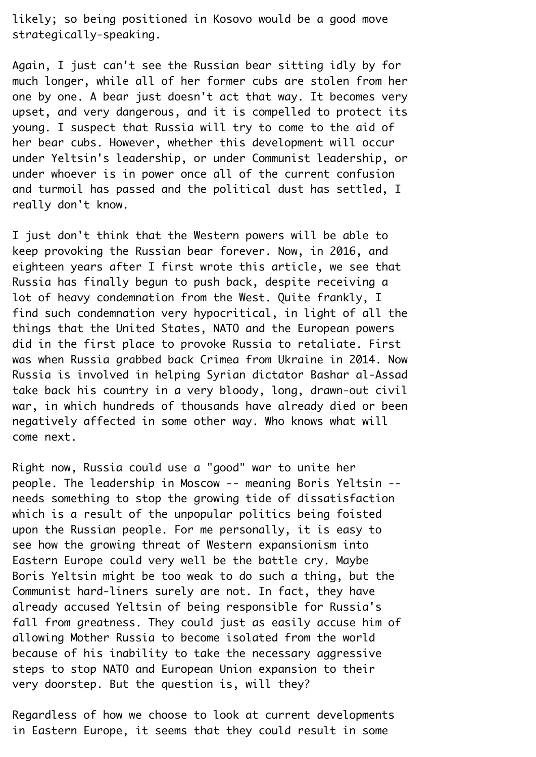likely; so being positioned in Kosovo would be a good move strategically-speaking.¬

Again, I just can't see the Russian bear sitting idly by for much longer, while all of her former cubs are stolen from her one by one. A bear just doesn't act that way. It becomes very upset, and very dangerous, and it is compelled to protect its young. I suspect that Russia will try to come to the aid of her bear cubs. However, whether this development will occur under Yeltsin's leadership, or under Communist leadership, or under whoever is in power once all of the current confusion and turmoil has passed and the political dust has settled, I really don't know.

I just don't think that the Western powers will be able to keep provoking the Russian bear forever. Now, in 2016, and eighteen years after I first wrote this article, we see that¬ Russia has finally begun to push back, despite receiving a lot of heavy condemnation from the West. Quite frankly, I find such condemnation very hypocritical, in light of all the things that the United States, NATO and the European powers did in the first place to provoke Russia to retaliate. First was when Russia grabbed back Crimea from Ukraine in 2014. Now¬ Russia is involved in helping Syrian dictator Bashar al-Assad take back his country in a very bloody, long, drawn-out civil war, in which hundreds of thousands have already died or been negatively affected in some other way. Who knows what will come next.¬

Right now, Russia could use a "good" war to unite her people. The leadership in Moscow -- meaning Boris Yeltsin -needs something to stop the growing tide of dissatisfaction which is a result of the unpopular politics being foisted upon the Russian people. For me personally, it is easy to see how the growing threat of Western expansionism into Eastern Europe could very well be the battle cry. Maybe¬ Boris Yeltsin might be too weak to do such a thing, but the¬ Communist hard-liners surely are not. In fact, they have already accused Yeltsin of being responsible for Russia's fall from greatness. They could just as easily accuse him of allowing Mother Russia to become isolated from the world because of his inability to take the necessary aggressive steps to stop NATO and European Union expansion to their very doorstep. But the question is, will they?¬

Regardless of how we choose to look at current developments in Eastern Europe, it seems that they could result in some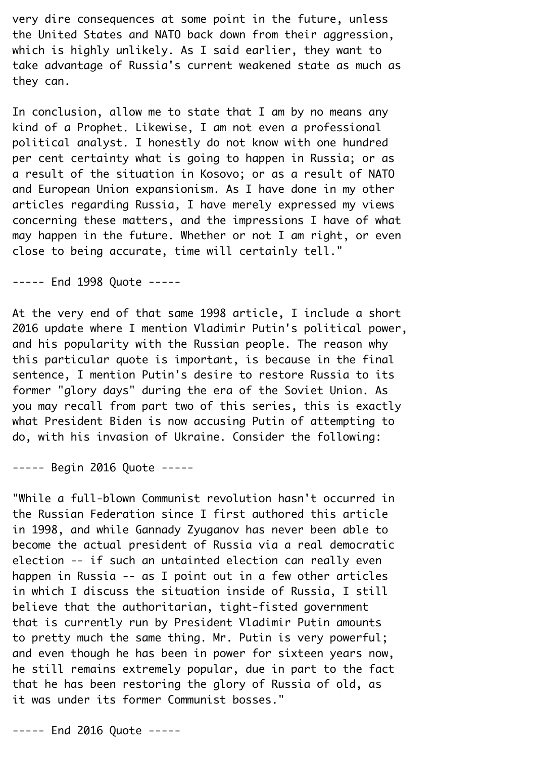very dire consequences at some point in the future, unless the United States and NATO back down from their aggression, which is highly unlikely. As I said earlier, they want to take advantage of Russia's current weakened state as much as they can.

In conclusion, allow me to state that I am by no means any kind of a Prophet. Likewise, I am not even a professional political analyst. I honestly do not know with one hundred per cent certainty what is going to happen in Russia; or as a result of the situation in Kosovo; or as a result of NATO and European Union expansionism. As I have done in my other articles regarding Russia, I have merely expressed my views concerning these matters, and the impressions I have of what may happen in the future. Whether or not I am right, or even close to being accurate, time will certainly tell."¬

----- End 1998 Ouote -----

At the very end of that same 1998 article, I include a short 2016 update where I mention Vladimir Putin's political power, and his popularity with the Russian people. The reason why this particular quote is important, is because in the final sentence, I mention Putin's desire to restore Russia to its former "glory days" during the era of the Soviet Union. As you may recall from part two of this series, this is exactly what President Biden is now accusing Putin of attempting to do, with his invasion of Ukraine. Consider the following:¬

----- Begin 2016 Quote -----

"While a full-blown Communist revolution hasn't occurred in the Russian Federation since I first authored this article in 1998, and while Gannady Zyuganov has never been able to become the actual president of Russia via a real democratic election -- if such an untainted election can really even happen in Russia -- as I point out in a few other articles in which I discuss the situation inside of Russia, I still believe that the authoritarian, tight-fisted government that is currently run by President Vladimir Putin amounts to pretty much the same thing. Mr. Putin is very powerful; and even though he has been in power for sixteen years now, he still remains extremely popular, due in part to the fact that he has been restoring the glory of Russia of old, as it was under its former Communist bosses."

----- End 2016 Quote -----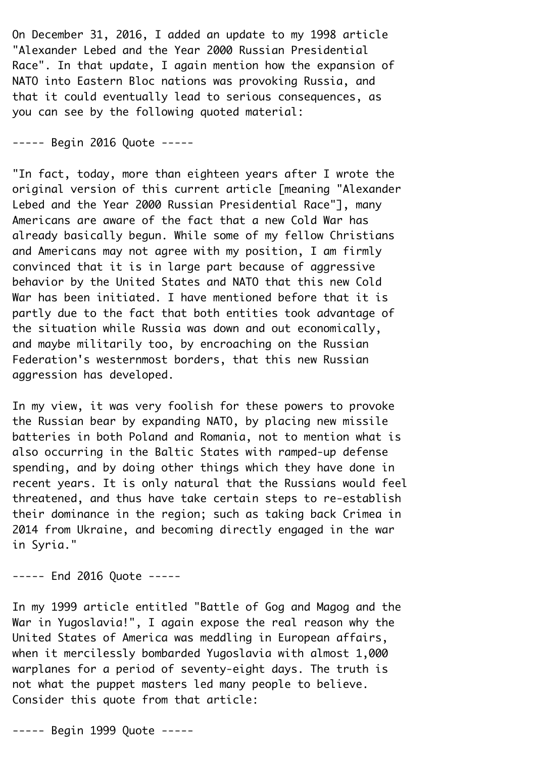On December 31, 2016, I added an update to my 1998 article¬ "Alexander Lebed and the Year 2000 Russian Presidential¬ Race". In that update, I again mention how the expansion of NATO into Eastern Bloc nations was provoking Russia, and that it could eventually lead to serious consequences, as you can see by the following quoted material:¬

----- Begin 2016 Quote -----

"In fact, today, more than eighteen years after I wrote the original version of this current article [meaning "Alexander¬ Lebed and the Year 2000 Russian Presidential Race"], many¬ Americans are aware of the fact that a new Cold War has already basically begun. While some of my fellow Christians and Americans may not agree with my position, I am firmly convinced that it is in large part because of aggressive behavior by the United States and NATO that this new Cold¬ War has been initiated. I have mentioned before that it is partly due to the fact that both entities took advantage of the situation while Russia was down and out economically, and maybe militarily too, by encroaching on the Russian¬ Federation's westernmost borders, that this new Russian aggression has developed.¬

In my view, it was very foolish for these powers to provoke the Russian bear by expanding NATO, by placing new missile batteries in both Poland and Romania, not to mention what is also occurring in the Baltic States with ramped-up defense spending, and by doing other things which they have done in recent years. It is only natural that the Russians would feel threatened, and thus have take certain steps to re-establish their dominance in the region; such as taking back Crimea in¬ 2014 from Ukraine, and becoming directly engaged in the war in Syria."¬

----- End 2016 Ouote -----

In my 1999 article entitled "Battle of Gog and Magog and the¬ War in Yugoslavia!", I again expose the real reason why the United States of America was meddling in European affairs, when it mercilessly bombarded Yugoslavia with almost 1,000 warplanes for a period of seventy-eight days. The truth is not what the puppet masters led many people to believe. Consider this quote from that article:

----- Begin 1999 Quote -----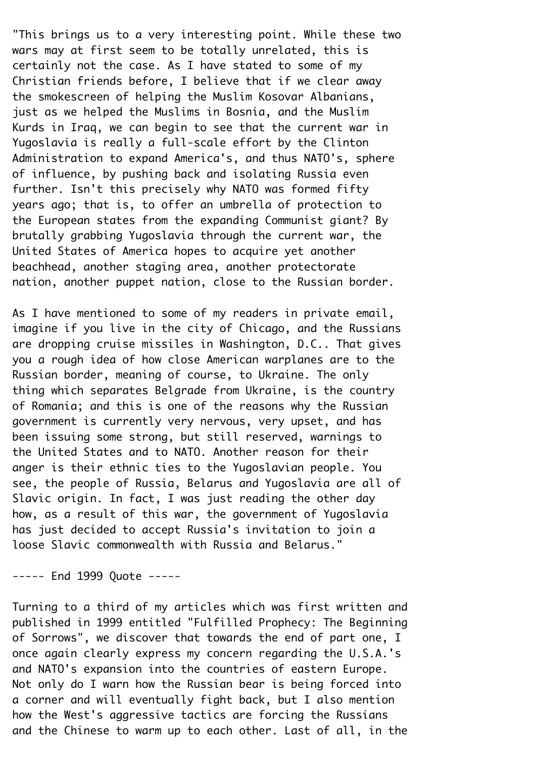"This brings us to a very interesting point. While these two wars may at first seem to be totally unrelated, this is certainly not the case. As I have stated to some of my¬ Christian friends before, I believe that if we clear away the smokescreen of helping the Muslim Kosovar Albanians, just as we helped the Muslims in Bosnia, and the Muslim¬ Kurds in Iraq, we can begin to see that the current war in¬ Yugoslavia is really a full-scale effort by the Clinton¬ Administration to expand America's, and thus NATO's, sphere of influence, by pushing back and isolating Russia even further. Isn't this precisely why NATO was formed fifty years ago; that is, to offer an umbrella of protection to the European states from the expanding Communist giant? By brutally grabbing Yugoslavia through the current war, the¬ United States of America hopes to acquire yet another beachhead, another staging area, another protectorate nation, another puppet nation, close to the Russian border.

As I have mentioned to some of my readers in private email, imagine if you live in the city of Chicago, and the Russians are dropping cruise missiles in Washington, D.C.. That gives you a rough idea of how close American warplanes are to the¬ Russian border, meaning of course, to Ukraine. The only thing which separates Belgrade from Ukraine, is the country of Romania; and this is one of the reasons why the Russian government is currently very nervous, very upset, and has been issuing some strong, but still reserved, warnings to the United States and to NATO. Another reason for their anger is their ethnic ties to the Yugoslavian people. You see, the people of Russia, Belarus and Yugoslavia are all of Slavic origin. In fact, I was just reading the other day how, as a result of this war, the government of Yugoslavia has just decided to accept Russia's invitation to join a loose Slavic commonwealth with Russia and Belarus."¬

----- End 1999 Ouote -----

Turning to a third of my articles which was first written and published in 1999 entitled "Fulfilled Prophecy: The Beginning of Sorrows", we discover that towards the end of part one, I once again clearly express my concern regarding the U.S.A.'s and NATO's expansion into the countries of eastern Europe. Not only do I warn how the Russian bear is being forced into a corner and will eventually fight back, but I also mention how the West's aggressive tactics are forcing the Russians and the Chinese to warm up to each other. Last of all, in the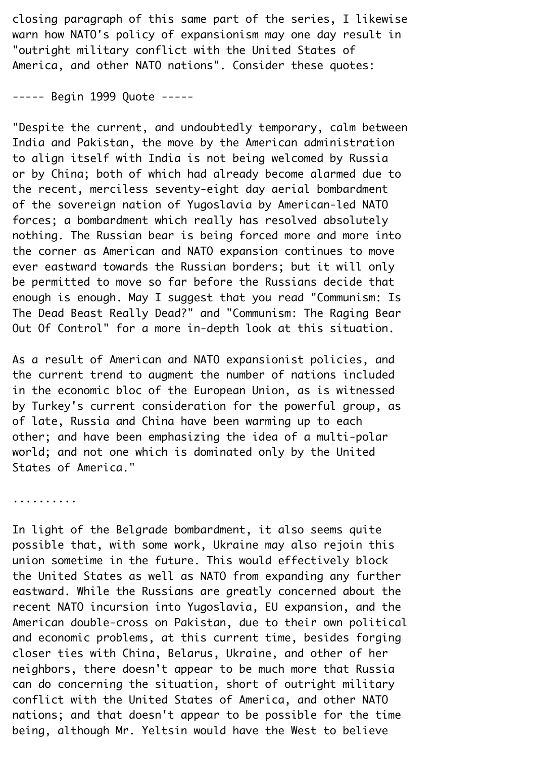closing paragraph of this same part of the series, I likewise warn how NATO's policy of expansionism may one day result in¬ "outright military conflict with the United States of¬ America, and other NATO nations". Consider these quotes:

----- Begin 1999 Ouote -----

"Despite the current, and undoubtedly temporary, calm between India and Pakistan, the move by the American administration to align itself with India is not being welcomed by Russia or by China; both of which had already become alarmed due to the recent, merciless seventy-eight day aerial bombardment of the sovereign nation of Yugoslavia by American-led NATO forces; a bombardment which really has resolved absolutely nothing. The Russian bear is being forced more and more into the corner as American and NATO expansion continues to move ever eastward towards the Russian borders; but it will only be permitted to move so far before the Russians decide that enough is enough. May I suggest that you read "Communism: Is¬ The Dead Beast Really Dead?" and "Communism: The Raging Bear¬ Out Of Control" for a more in-depth look at this situation.

As a result of American and NATO expansionist policies, and the current trend to augment the number of nations included in the economic bloc of the European Union, as is witnessed by Turkey's current consideration for the powerful group, as of late, Russia and China have been warming up to each other; and have been emphasizing the idea of a multi-polar world; and not one which is dominated only by the United States of America."

..........¬

In light of the Belgrade bombardment, it also seems quite possible that, with some work, Ukraine may also rejoin this union sometime in the future. This would effectively block the United States as well as NATO from expanding any further eastward. While the Russians are greatly concerned about the recent NATO incursion into Yugoslavia, EU expansion, and the¬ American double-cross on Pakistan, due to their own political and economic problems, at this current time, besides forging closer ties with China, Belarus, Ukraine, and other of her neighbors, there doesn't appear to be much more that Russia can do concerning the situation, short of outright military conflict with the United States of America, and other NATO nations; and that doesn't appear to be possible for the time being, although Mr. Yeltsin would have the West to believe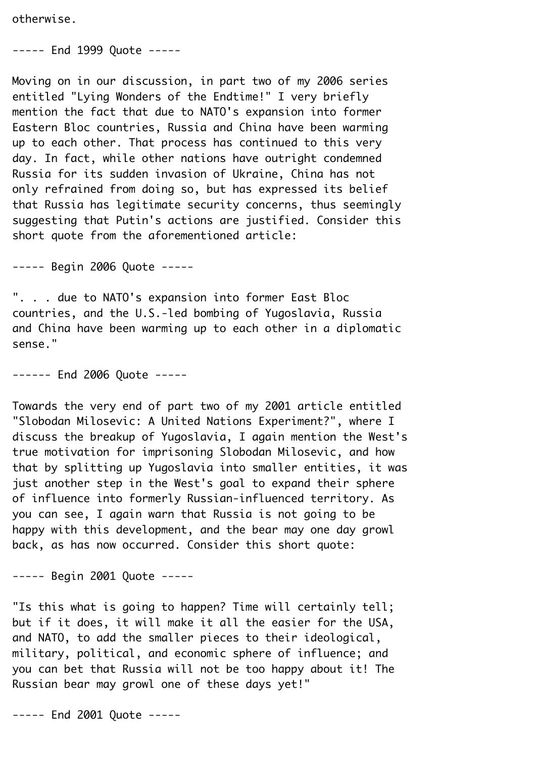otherwise.¬

----- End 1999 Ouote -----

Moving on in our discussion, in part two of my 2006 series entitled "Lying Wonders of the Endtime!" I very briefly mention the fact that due to NATO's expansion into former¬ Eastern Bloc countries, Russia and China have been warming up to each other. That process has continued to this very day. In fact, while other nations have outright condemned¬ Russia for its sudden invasion of Ukraine, China has not only refrained from doing so, but has expressed its belief that Russia has legitimate security concerns, thus seemingly suggesting that Putin's actions are justified. Consider this short quote from the aforementioned article:

----- Begin 2006 Quote -----

". . . due to NATO's expansion into former East Bloc countries, and the U.S.-led bombing of Yugoslavia, Russia and China have been warming up to each other in a diplomatic sense."

------ End 2006 Ouote -----

Towards the very end of part two of my 2001 article entitled¬ "Slobodan Milosevic: A United Nations Experiment?", where I discuss the breakup of Yugoslavia, I again mention the West's true motivation for imprisoning Slobodan Milosevic, and how that by splitting up Yugoslavia into smaller entities, it was just another step in the West's goal to expand their sphere of influence into formerly Russian-influenced territory. As you can see, I again warn that Russia is not going to be happy with this development, and the bear may one day growl back, as has now occurred. Consider this short quote:

----- Begin 2001 Ouote -----

"Is this what is going to happen? Time will certainly tell; but if it does, it will make it all the easier for the USA, and NATO, to add the smaller pieces to their ideological, military, political, and economic sphere of influence; and you can bet that Russia will not be too happy about it! The¬ Russian bear may growl one of these days yet!"¬

----- End 2001 Quote -----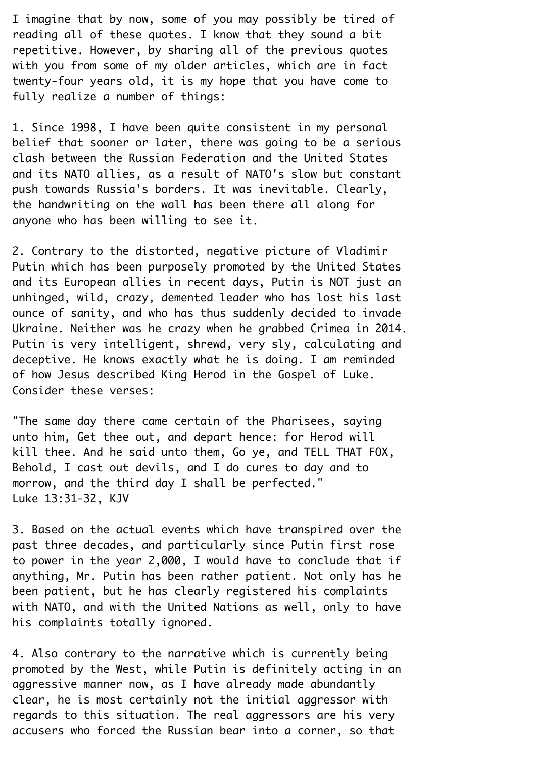I imagine that by now, some of you may possibly be tired of reading all of these quotes. I know that they sound a bit repetitive. However, by sharing all of the previous quotes with you from some of my older articles, which are in fact twenty-four years old, it is my hope that you have come to fully realize a number of things:

1. Since 1998, I have been quite consistent in my personal belief that sooner or later, there was going to be a serious clash between the Russian Federation and the United States and its NATO allies, as a result of NATO's slow but constant push towards Russia's borders. It was inevitable. Clearly, the handwriting on the wall has been there all along for anyone who has been willing to see it.

2. Contrary to the distorted, negative picture of Vladimir¬ Putin which has been purposely promoted by the United States and its European allies in recent days, Putin is NOT just an unhinged, wild, crazy, demented leader who has lost his last ounce of sanity, and who has thus suddenly decided to invade¬ Ukraine. Neither was he crazy when he grabbed Crimea in 2014. Putin is very intelligent, shrewd, very sly, calculating and deceptive. He knows exactly what he is doing. I am reminded of how Jesus described King Herod in the Gospel of Luke.¬ Consider these verses:

"The same day there came certain of the Pharisees, saying unto him, Get thee out, and depart hence: for Herod will kill thee. And he said unto them, Go ye, and TELL THAT FOX, Behold, I cast out devils, and I do cures to day and to morrow, and the third day I shall be perfected." Luke 13:31-32, KJV¬

3. Based on the actual events which have transpired over the past three decades, and particularly since Putin first rose to power in the year 2,000, I would have to conclude that if anything, Mr. Putin has been rather patient. Not only has he been patient, but he has clearly registered his complaints with NATO, and with the United Nations as well, only to have his complaints totally ignored.

4. Also contrary to the narrative which is currently being promoted by the West, while Putin is definitely acting in an aggressive manner now, as I have already made abundantly clear, he is most certainly not the initial aggressor with regards to this situation. The real aggressors are his very accusers who forced the Russian bear into a corner, so that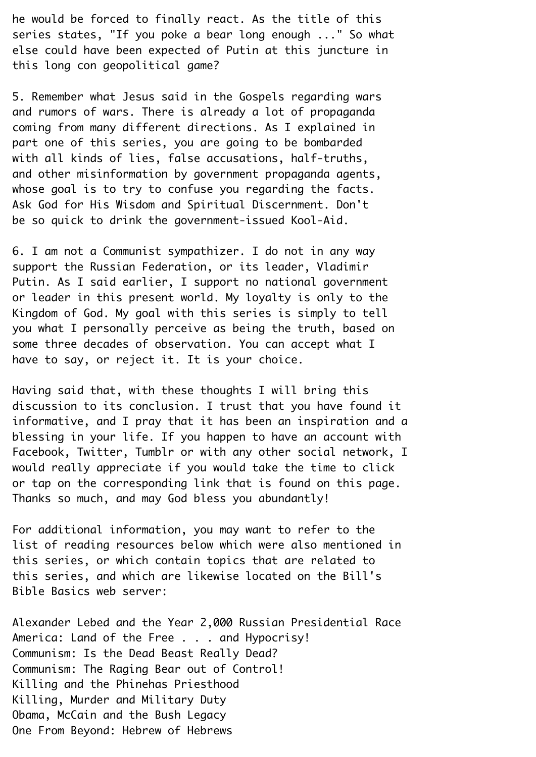he would be forced to finally react. As the title of this series states, "If you poke a bear long enough ..." So what else could have been expected of Putin at this juncture in this long con geopolitical game?¬

5. Remember what Jesus said in the Gospels regarding wars and rumors of wars. There is already a lot of propaganda coming from many different directions. As I explained in part one of this series, you are going to be bombarded with all kinds of lies, false accusations, half-truths, and other misinformation by government propaganda agents, whose goal is to try to confuse you regarding the facts. Ask God for His Wisdom and Spiritual Discernment. Don't be so quick to drink the government-issued Kool-Aid.¬

6. I am not a Communist sympathizer. I do not in any way support the Russian Federation, or its leader, Vladimir Putin. As I said earlier, I support no national government or leader in this present world. My loyalty is only to the¬ Kingdom of God. My goal with this series is simply to tell you what I personally perceive as being the truth, based on some three decades of observation. You can accept what I have to say, or reject it. It is your choice.

Having said that, with these thoughts I will bring this discussion to its conclusion. I trust that you have found it informative, and I pray that it has been an inspiration and a blessing in your life. If you happen to have an account with¬ Facebook, Twitter, Tumblr or with any other social network, I would really appreciate if you would take the time to click or tap on the corresponding link that is found on this page. Thanks so much, and may God bless you abundantly!¬

For additional information, you may want to refer to the list of reading resources below which were also mentioned in this series, or which contain topics that are related to this series, and which are likewise located on the Bill's¬ Bible Basics web server:

Alexander Lebed and the Year 2,000 Russian Presidential Race¬ America: Land of the Free . . . and Hypocrisy! Communism: Is the Dead Beast Really Dead?¬ Communism: The Raging Bear out of Control!¬ Killing and the Phinehas Priesthood¬ Killing, Murder and Military Duty¬ Obama, McCain and the Bush Legacy¬ One From Beyond: Hebrew of Hebrews¬